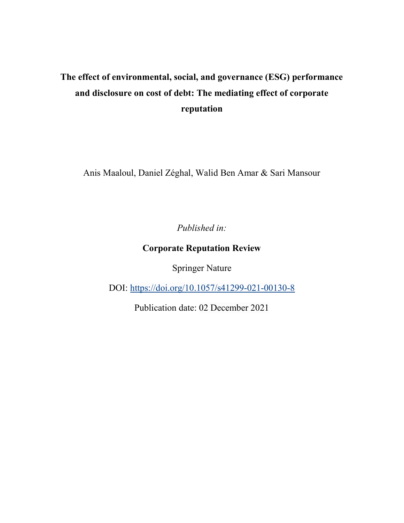# The effect of environmental, social, and governance (ESG) performance and disclosure on cost of debt: The mediating effect of corporate reputation

Anis Maaloul, Daniel Zéghal, Walid Ben Amar & Sari Mansour

Published in:

### Corporate Reputation Review

Springer Nature

DOI: https://doi.org/10.1057/s41299-021-00130-8

Publication date: 02 December 2021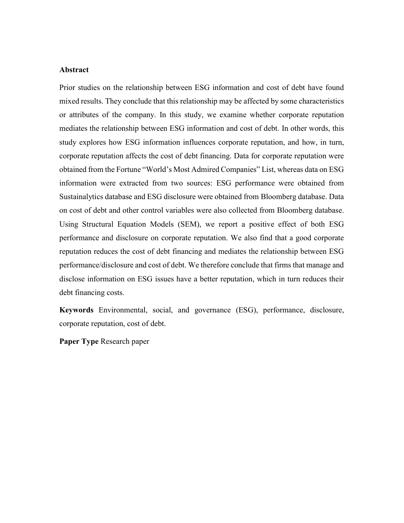#### Abstract

Prior studies on the relationship between ESG information and cost of debt have found mixed results. They conclude that this relationship may be affected by some characteristics or attributes of the company. In this study, we examine whether corporate reputation mediates the relationship between ESG information and cost of debt. In other words, this study explores how ESG information influences corporate reputation, and how, in turn, corporate reputation affects the cost of debt financing. Data for corporate reputation were obtained from the Fortune "World's Most Admired Companies" List, whereas data on ESG information were extracted from two sources: ESG performance were obtained from Sustainalytics database and ESG disclosure were obtained from Bloomberg database. Data on cost of debt and other control variables were also collected from Bloomberg database. Using Structural Equation Models (SEM), we report a positive effect of both ESG performance and disclosure on corporate reputation. We also find that a good corporate reputation reduces the cost of debt financing and mediates the relationship between ESG performance/disclosure and cost of debt. We therefore conclude that firms that manage and disclose information on ESG issues have a better reputation, which in turn reduces their debt financing costs.

Keywords Environmental, social, and governance (ESG), performance, disclosure, corporate reputation, cost of debt.

Paper Type Research paper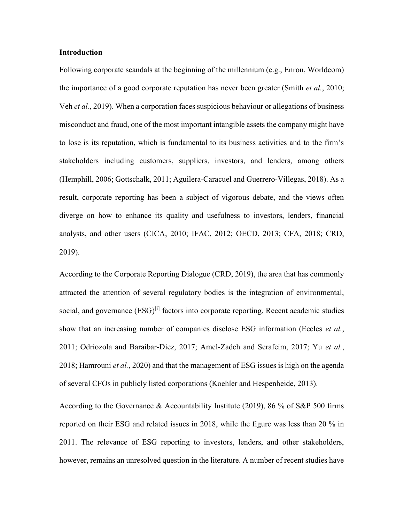#### Introduction

Following corporate scandals at the beginning of the millennium (e.g., Enron, Worldcom) the importance of a good corporate reputation has never been greater (Smith *et al.*, 2010; Veh et al., 2019). When a corporation faces suspicious behaviour or allegations of business misconduct and fraud, one of the most important intangible assets the company might have to lose is its reputation, which is fundamental to its business activities and to the firm's stakeholders including customers, suppliers, investors, and lenders, among others (Hemphill, 2006; Gottschalk, 2011; Aguilera-Caracuel and Guerrero-Villegas, 2018). As a result, corporate reporting has been a subject of vigorous debate, and the views often diverge on how to enhance its quality and usefulness to investors, lenders, financial analysts, and other users (CICA, 2010; IFAC, 2012; OECD, 2013; CFA, 2018; CRD, 2019).

According to the Corporate Reporting Dialogue (CRD, 2019), the area that has commonly attracted the attention of several regulatory bodies is the integration of environmental, social, and governance (ESG)<sup>[i]</sup> factors into corporate reporting. Recent academic studies show that an increasing number of companies disclose ESG information (Eccles et al., 2011; Odriozola and Baraibar-Diez, 2017; Amel-Zadeh and Serafeim, 2017; Yu et al., 2018; Hamrouni *et al.*, 2020) and that the management of ESG issues is high on the agenda of several CFOs in publicly listed corporations (Koehler and Hespenheide, 2013).

According to the Governance & Accountability Institute (2019), 86 % of S&P 500 firms reported on their ESG and related issues in 2018, while the figure was less than 20 % in 2011. The relevance of ESG reporting to investors, lenders, and other stakeholders, however, remains an unresolved question in the literature. A number of recent studies have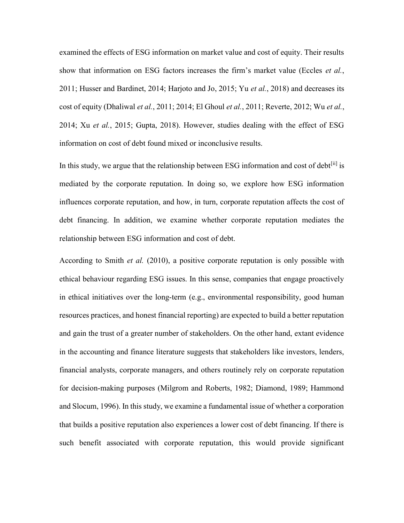examined the effects of ESG information on market value and cost of equity. Their results show that information on ESG factors increases the firm's market value (Eccles et al., 2011; Husser and Bardinet, 2014; Harjoto and Jo, 2015; Yu et al., 2018) and decreases its cost of equity (Dhaliwal et al., 2011; 2014; El Ghoul et al., 2011; Reverte, 2012; Wu et al., 2014; Xu et al., 2015; Gupta, 2018). However, studies dealing with the effect of ESG information on cost of debt found mixed or inconclusive results.

In this study, we argue that the relationship between ESG information and cost of debt<sup>[ii]</sup> is mediated by the corporate reputation. In doing so, we explore how ESG information influences corporate reputation, and how, in turn, corporate reputation affects the cost of debt financing. In addition, we examine whether corporate reputation mediates the relationship between ESG information and cost of debt.

According to Smith *et al.* (2010), a positive corporate reputation is only possible with ethical behaviour regarding ESG issues. In this sense, companies that engage proactively in ethical initiatives over the long-term (e.g., environmental responsibility, good human resources practices, and honest financial reporting) are expected to build a better reputation and gain the trust of a greater number of stakeholders. On the other hand, extant evidence in the accounting and finance literature suggests that stakeholders like investors, lenders, financial analysts, corporate managers, and others routinely rely on corporate reputation for decision-making purposes (Milgrom and Roberts, 1982; Diamond, 1989; Hammond and Slocum, 1996). In this study, we examine a fundamental issue of whether a corporation that builds a positive reputation also experiences a lower cost of debt financing. If there is such benefit associated with corporate reputation, this would provide significant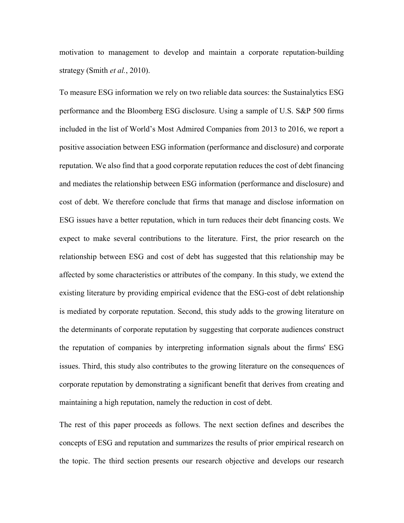motivation to management to develop and maintain a corporate reputation-building strategy (Smith *et al.*, 2010).

To measure ESG information we rely on two reliable data sources: the Sustainalytics ESG performance and the Bloomberg ESG disclosure. Using a sample of U.S. S&P 500 firms included in the list of World's Most Admired Companies from 2013 to 2016, we report a positive association between ESG information (performance and disclosure) and corporate reputation. We also find that a good corporate reputation reduces the cost of debt financing and mediates the relationship between ESG information (performance and disclosure) and cost of debt. We therefore conclude that firms that manage and disclose information on ESG issues have a better reputation, which in turn reduces their debt financing costs. We expect to make several contributions to the literature. First, the prior research on the relationship between ESG and cost of debt has suggested that this relationship may be affected by some characteristics or attributes of the company. In this study, we extend the existing literature by providing empirical evidence that the ESG-cost of debt relationship is mediated by corporate reputation. Second, this study adds to the growing literature on the determinants of corporate reputation by suggesting that corporate audiences construct the reputation of companies by interpreting information signals about the firms' ESG issues. Third, this study also contributes to the growing literature on the consequences of corporate reputation by demonstrating a significant benefit that derives from creating and maintaining a high reputation, namely the reduction in cost of debt.

The rest of this paper proceeds as follows. The next section defines and describes the concepts of ESG and reputation and summarizes the results of prior empirical research on the topic. The third section presents our research objective and develops our research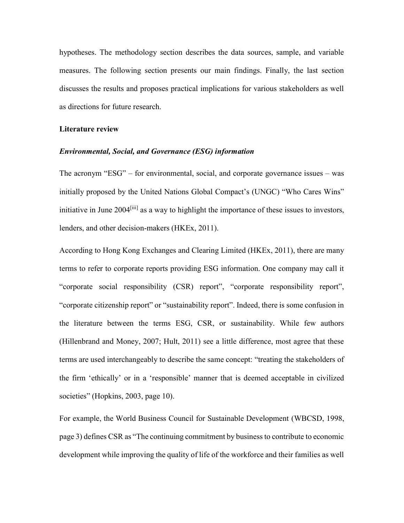hypotheses. The methodology section describes the data sources, sample, and variable measures. The following section presents our main findings. Finally, the last section discusses the results and proposes practical implications for various stakeholders as well as directions for future research.

#### Literature review

#### Environmental, Social, and Governance (ESG) information

The acronym "ESG" – for environmental, social, and corporate governance issues – was initially proposed by the United Nations Global Compact's (UNGC) "Who Cares Wins" initiative in June 2004<sup>[iii]</sup> as a way to highlight the importance of these issues to investors, lenders, and other decision-makers (HKEx, 2011).

According to Hong Kong Exchanges and Clearing Limited (HKEx, 2011), there are many terms to refer to corporate reports providing ESG information. One company may call it "corporate social responsibility (CSR) report", "corporate responsibility report", "corporate citizenship report" or "sustainability report". Indeed, there is some confusion in the literature between the terms ESG, CSR, or sustainability. While few authors (Hillenbrand and Money, 2007; Hult, 2011) see a little difference, most agree that these terms are used interchangeably to describe the same concept: "treating the stakeholders of the firm 'ethically' or in a 'responsible' manner that is deemed acceptable in civilized societies" (Hopkins, 2003, page 10).

For example, the World Business Council for Sustainable Development (WBCSD, 1998, page 3) defines CSR as "The continuing commitment by business to contribute to economic development while improving the quality of life of the workforce and their families as well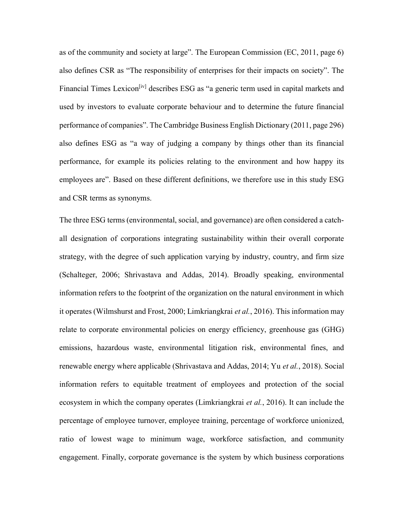as of the community and society at large". The European Commission (EC, 2011, page 6) also defines CSR as "The responsibility of enterprises for their impacts on society". The Financial Times Lexicon<sup>[iv]</sup> describes ESG as "a generic term used in capital markets and used by investors to evaluate corporate behaviour and to determine the future financial performance of companies". The Cambridge Business English Dictionary (2011, page 296) also defines ESG as "a way of judging a company by things other than its financial performance, for example its policies relating to the environment and how happy its employees are". Based on these different definitions, we therefore use in this study ESG and CSR terms as synonyms.

The three ESG terms (environmental, social, and governance) are often considered a catchall designation of corporations integrating sustainability within their overall corporate strategy, with the degree of such application varying by industry, country, and firm size (Schalteger, 2006; Shrivastava and Addas, 2014). Broadly speaking, environmental information refers to the footprint of the organization on the natural environment in which it operates (Wilmshurst and Frost, 2000; Limkriangkrai et al., 2016). This information may relate to corporate environmental policies on energy efficiency, greenhouse gas (GHG) emissions, hazardous waste, environmental litigation risk, environmental fines, and renewable energy where applicable (Shrivastava and Addas, 2014; Yu *et al.*, 2018). Social information refers to equitable treatment of employees and protection of the social ecosystem in which the company operates (Limkriangkrai et al., 2016). It can include the percentage of employee turnover, employee training, percentage of workforce unionized, ratio of lowest wage to minimum wage, workforce satisfaction, and community engagement. Finally, corporate governance is the system by which business corporations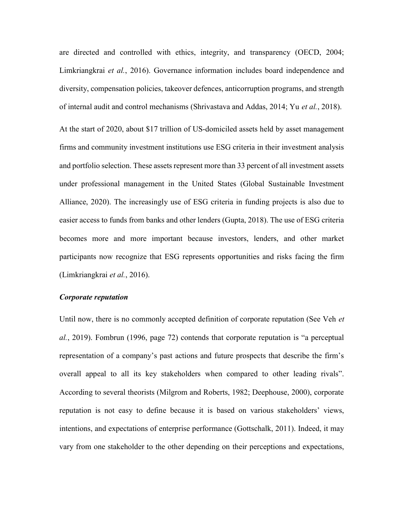are directed and controlled with ethics, integrity, and transparency (OECD, 2004; Limkriangkrai et al., 2016). Governance information includes board independence and diversity, compensation policies, takeover defences, anticorruption programs, and strength of internal audit and control mechanisms (Shrivastava and Addas, 2014; Yu et al., 2018).

At the start of 2020, about \$17 trillion of US-domiciled assets held by asset management firms and community investment institutions use ESG criteria in their investment analysis and portfolio selection. These assets represent more than 33 percent of all investment assets under professional management in the United States (Global Sustainable Investment Alliance, 2020). The increasingly use of ESG criteria in funding projects is also due to easier access to funds from banks and other lenders (Gupta, 2018). The use of ESG criteria becomes more and more important because investors, lenders, and other market participants now recognize that ESG represents opportunities and risks facing the firm (Limkriangkrai et al., 2016).

#### Corporate reputation

Until now, there is no commonly accepted definition of corporate reputation (See Veh et al., 2019). Fombrun (1996, page 72) contends that corporate reputation is "a perceptual representation of a company's past actions and future prospects that describe the firm's overall appeal to all its key stakeholders when compared to other leading rivals". According to several theorists (Milgrom and Roberts, 1982; Deephouse, 2000), corporate reputation is not easy to define because it is based on various stakeholders' views, intentions, and expectations of enterprise performance (Gottschalk, 2011). Indeed, it may vary from one stakeholder to the other depending on their perceptions and expectations,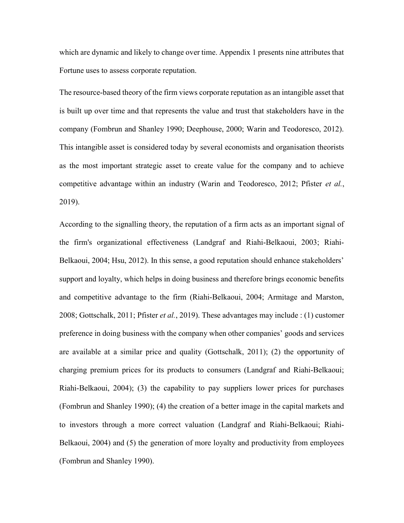which are dynamic and likely to change over time. Appendix 1 presents nine attributes that Fortune uses to assess corporate reputation.

The resource-based theory of the firm views corporate reputation as an intangible asset that is built up over time and that represents the value and trust that stakeholders have in the company (Fombrun and Shanley 1990; Deephouse, 2000; Warin and Teodoresco, 2012). This intangible asset is considered today by several economists and organisation theorists as the most important strategic asset to create value for the company and to achieve competitive advantage within an industry (Warin and Teodoresco, 2012; Pfister et al., 2019).

According to the signalling theory, the reputation of a firm acts as an important signal of the firm's organizational effectiveness (Landgraf and Riahi-Belkaoui, 2003; Riahi-Belkaoui, 2004; Hsu, 2012). In this sense, a good reputation should enhance stakeholders' support and loyalty, which helps in doing business and therefore brings economic benefits and competitive advantage to the firm (Riahi-Belkaoui, 2004; Armitage and Marston, 2008; Gottschalk, 2011; Pfister et al., 2019). These advantages may include : (1) customer preference in doing business with the company when other companies' goods and services are available at a similar price and quality (Gottschalk, 2011); (2) the opportunity of charging premium prices for its products to consumers (Landgraf and Riahi-Belkaoui; Riahi-Belkaoui, 2004); (3) the capability to pay suppliers lower prices for purchases (Fombrun and Shanley 1990); (4) the creation of a better image in the capital markets and to investors through a more correct valuation (Landgraf and Riahi-Belkaoui; Riahi-Belkaoui, 2004) and (5) the generation of more loyalty and productivity from employees (Fombrun and Shanley 1990).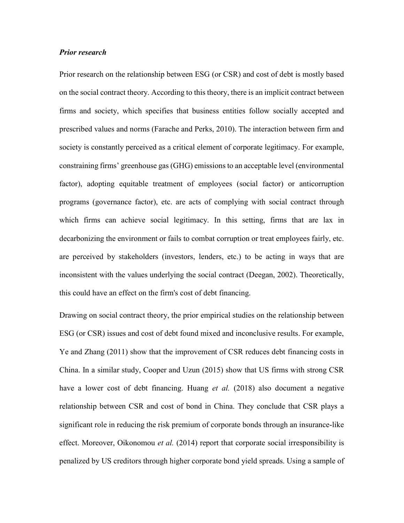#### Prior research

Prior research on the relationship between ESG (or CSR) and cost of debt is mostly based on the social contract theory. According to this theory, there is an implicit contract between firms and society, which specifies that business entities follow socially accepted and prescribed values and norms (Farache and Perks, 2010). The interaction between firm and society is constantly perceived as a critical element of corporate legitimacy. For example, constraining firms' greenhouse gas (GHG) emissions to an acceptable level (environmental factor), adopting equitable treatment of employees (social factor) or anticorruption programs (governance factor), etc. are acts of complying with social contract through which firms can achieve social legitimacy. In this setting, firms that are lax in decarbonizing the environment or fails to combat corruption or treat employees fairly, etc. are perceived by stakeholders (investors, lenders, etc.) to be acting in ways that are inconsistent with the values underlying the social contract (Deegan, 2002). Theoretically, this could have an effect on the firm's cost of debt financing.

Drawing on social contract theory, the prior empirical studies on the relationship between ESG (or CSR) issues and cost of debt found mixed and inconclusive results. For example, Ye and Zhang (2011) show that the improvement of CSR reduces debt financing costs in China. In a similar study, Cooper and Uzun (2015) show that US firms with strong CSR have a lower cost of debt financing. Huang et al. (2018) also document a negative relationship between CSR and cost of bond in China. They conclude that CSR plays a significant role in reducing the risk premium of corporate bonds through an insurance-like effect. Moreover, Oikonomou et al. (2014) report that corporate social irresponsibility is penalized by US creditors through higher corporate bond yield spreads. Using a sample of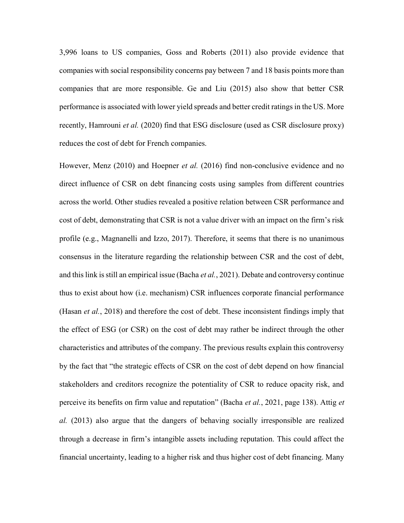3,996 loans to US companies, Goss and Roberts (2011) also provide evidence that companies with social responsibility concerns pay between 7 and 18 basis points more than companies that are more responsible. Ge and Liu (2015) also show that better CSR performance is associated with lower yield spreads and better credit ratings in the US. More recently, Hamrouni *et al.* (2020) find that ESG disclosure (used as CSR disclosure proxy) reduces the cost of debt for French companies.

However, Menz (2010) and Hoepner et al. (2016) find non-conclusive evidence and no direct influence of CSR on debt financing costs using samples from different countries across the world. Other studies revealed a positive relation between CSR performance and cost of debt, demonstrating that CSR is not a value driver with an impact on the firm's risk profile (e.g., Magnanelli and Izzo, 2017). Therefore, it seems that there is no unanimous consensus in the literature regarding the relationship between CSR and the cost of debt, and this link is still an empirical issue (Bacha *et al.*, 2021). Debate and controversy continue thus to exist about how (i.e. mechanism) CSR influences corporate financial performance (Hasan *et al.*, 2018) and therefore the cost of debt. These inconsistent findings imply that the effect of ESG (or CSR) on the cost of debt may rather be indirect through the other characteristics and attributes of the company. The previous results explain this controversy by the fact that "the strategic effects of CSR on the cost of debt depend on how financial stakeholders and creditors recognize the potentiality of CSR to reduce opacity risk, and perceive its benefits on firm value and reputation" (Bacha et al., 2021, page 138). Attig et al. (2013) also argue that the dangers of behaving socially irresponsible are realized through a decrease in firm's intangible assets including reputation. This could affect the financial uncertainty, leading to a higher risk and thus higher cost of debt financing. Many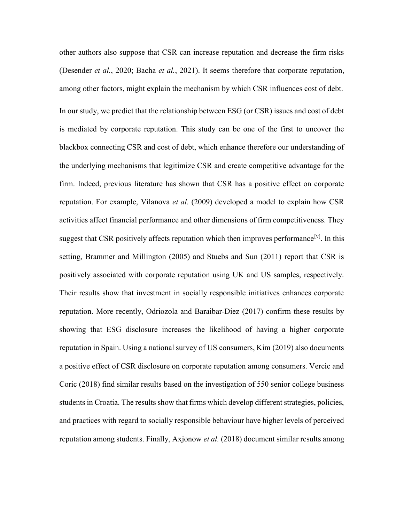other authors also suppose that CSR can increase reputation and decrease the firm risks (Desender et al., 2020; Bacha et al., 2021). It seems therefore that corporate reputation, among other factors, might explain the mechanism by which CSR influences cost of debt. In our study, we predict that the relationship between ESG (or CSR) issues and cost of debt is mediated by corporate reputation. This study can be one of the first to uncover the blackbox connecting CSR and cost of debt, which enhance therefore our understanding of the underlying mechanisms that legitimize CSR and create competitive advantage for the firm. Indeed, previous literature has shown that CSR has a positive effect on corporate reputation. For example, Vilanova *et al.* (2009) developed a model to explain how CSR activities affect financial performance and other dimensions of firm competitiveness. They suggest that CSR positively affects reputation which then improves performance  $[v]$ . In this setting, Brammer and Millington (2005) and Stuebs and Sun (2011) report that CSR is positively associated with corporate reputation using UK and US samples, respectively. Their results show that investment in socially responsible initiatives enhances corporate reputation. More recently, Odriozola and Baraibar-Diez (2017) confirm these results by showing that ESG disclosure increases the likelihood of having a higher corporate reputation in Spain. Using a national survey of US consumers, Kim (2019) also documents a positive effect of CSR disclosure on corporate reputation among consumers. Vercic and Coric (2018) find similar results based on the investigation of 550 senior college business students in Croatia. The results show that firms which develop different strategies, policies, and practices with regard to socially responsible behaviour have higher levels of perceived reputation among students. Finally, Axjonow *et al.* (2018) document similar results among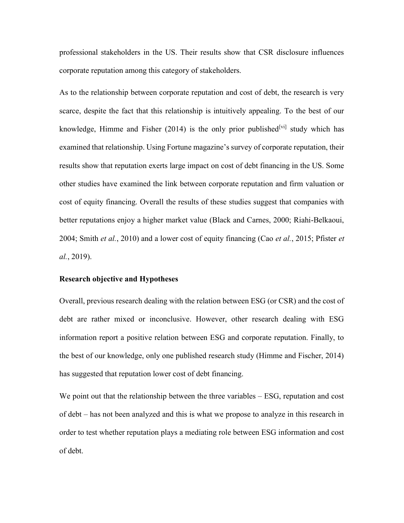professional stakeholders in the US. Their results show that CSR disclosure influences corporate reputation among this category of stakeholders.

As to the relationship between corporate reputation and cost of debt, the research is very scarce, despite the fact that this relationship is intuitively appealing. To the best of our knowledge, Himme and Fisher (2014) is the only prior published<sup>[vi]</sup> study which has examined that relationship. Using Fortune magazine's survey of corporate reputation, their results show that reputation exerts large impact on cost of debt financing in the US. Some other studies have examined the link between corporate reputation and firm valuation or cost of equity financing. Overall the results of these studies suggest that companies with better reputations enjoy a higher market value (Black and Carnes, 2000; Riahi-Belkaoui, 2004; Smith et al., 2010) and a lower cost of equity financing (Cao et al., 2015; Pfister et al., 2019).

#### Research objective and Hypotheses

Overall, previous research dealing with the relation between ESG (or CSR) and the cost of debt are rather mixed or inconclusive. However, other research dealing with ESG information report a positive relation between ESG and corporate reputation. Finally, to the best of our knowledge, only one published research study (Himme and Fischer, 2014) has suggested that reputation lower cost of debt financing.

We point out that the relationship between the three variables – ESG, reputation and cost of debt – has not been analyzed and this is what we propose to analyze in this research in order to test whether reputation plays a mediating role between ESG information and cost of debt.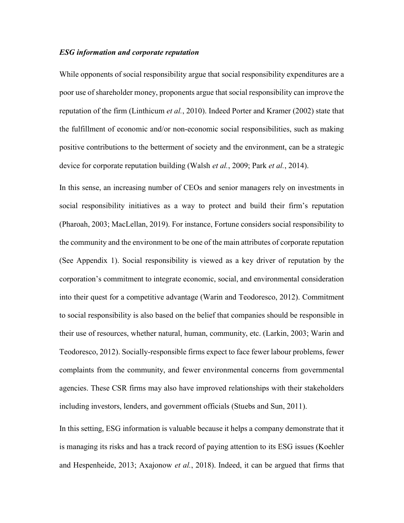#### ESG information and corporate reputation

While opponents of social responsibility argue that social responsibility expenditures are a poor use of shareholder money, proponents argue that social responsibility can improve the reputation of the firm (Linthicum *et al.*, 2010). Indeed Porter and Kramer (2002) state that the fulfillment of economic and/or non-economic social responsibilities, such as making positive contributions to the betterment of society and the environment, can be a strategic device for corporate reputation building (Walsh *et al.*, 2009; Park *et al.*, 2014).

In this sense, an increasing number of CEOs and senior managers rely on investments in social responsibility initiatives as a way to protect and build their firm's reputation (Pharoah, 2003; MacLellan, 2019). For instance, Fortune considers social responsibility to the community and the environment to be one of the main attributes of corporate reputation (See Appendix 1). Social responsibility is viewed as a key driver of reputation by the corporation's commitment to integrate economic, social, and environmental consideration into their quest for a competitive advantage (Warin and Teodoresco, 2012). Commitment to social responsibility is also based on the belief that companies should be responsible in their use of resources, whether natural, human, community, etc. (Larkin, 2003; Warin and Teodoresco, 2012). Socially-responsible firms expect to face fewer labour problems, fewer complaints from the community, and fewer environmental concerns from governmental agencies. These CSR firms may also have improved relationships with their stakeholders including investors, lenders, and government officials (Stuebs and Sun, 2011).

In this setting, ESG information is valuable because it helps a company demonstrate that it is managing its risks and has a track record of paying attention to its ESG issues (Koehler and Hespenheide, 2013; Axajonow et al., 2018). Indeed, it can be argued that firms that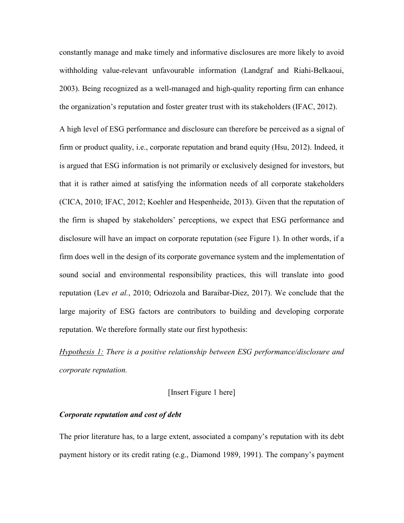constantly manage and make timely and informative disclosures are more likely to avoid withholding value-relevant unfavourable information (Landgraf and Riahi-Belkaoui, 2003). Being recognized as a well-managed and high-quality reporting firm can enhance the organization's reputation and foster greater trust with its stakeholders (IFAC, 2012).

A high level of ESG performance and disclosure can therefore be perceived as a signal of firm or product quality, i.e., corporate reputation and brand equity (Hsu, 2012). Indeed, it is argued that ESG information is not primarily or exclusively designed for investors, but that it is rather aimed at satisfying the information needs of all corporate stakeholders (CICA, 2010; IFAC, 2012; Koehler and Hespenheide, 2013). Given that the reputation of the firm is shaped by stakeholders' perceptions, we expect that ESG performance and disclosure will have an impact on corporate reputation (see Figure 1). In other words, if a firm does well in the design of its corporate governance system and the implementation of sound social and environmental responsibility practices, this will translate into good reputation (Lev et al., 2010; Odriozola and Baraibar-Diez, 2017). We conclude that the large majority of ESG factors are contributors to building and developing corporate reputation. We therefore formally state our first hypothesis:

Hypothesis 1: There is a positive relationship between ESG performance/disclosure and corporate reputation.

[Insert Figure 1 here]

#### Corporate reputation and cost of debt

The prior literature has, to a large extent, associated a company's reputation with its debt payment history or its credit rating (e.g., Diamond 1989, 1991). The company's payment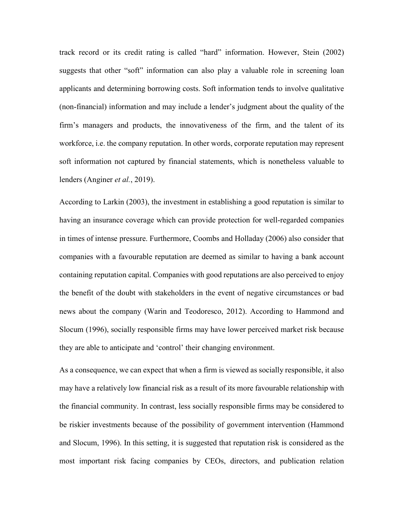track record or its credit rating is called "hard" information. However, Stein (2002) suggests that other "soft" information can also play a valuable role in screening loan applicants and determining borrowing costs. Soft information tends to involve qualitative (non-financial) information and may include a lender's judgment about the quality of the firm's managers and products, the innovativeness of the firm, and the talent of its workforce, i.e. the company reputation. In other words, corporate reputation may represent soft information not captured by financial statements, which is nonetheless valuable to lenders (Anginer et al., 2019).

According to Larkin (2003), the investment in establishing a good reputation is similar to having an insurance coverage which can provide protection for well-regarded companies in times of intense pressure. Furthermore, Coombs and Holladay (2006) also consider that companies with a favourable reputation are deemed as similar to having a bank account containing reputation capital. Companies with good reputations are also perceived to enjoy the benefit of the doubt with stakeholders in the event of negative circumstances or bad news about the company (Warin and Teodoresco, 2012). According to Hammond and Slocum (1996), socially responsible firms may have lower perceived market risk because they are able to anticipate and 'control' their changing environment.

As a consequence, we can expect that when a firm is viewed as socially responsible, it also may have a relatively low financial risk as a result of its more favourable relationship with the financial community. In contrast, less socially responsible firms may be considered to be riskier investments because of the possibility of government intervention (Hammond and Slocum, 1996). In this setting, it is suggested that reputation risk is considered as the most important risk facing companies by CEOs, directors, and publication relation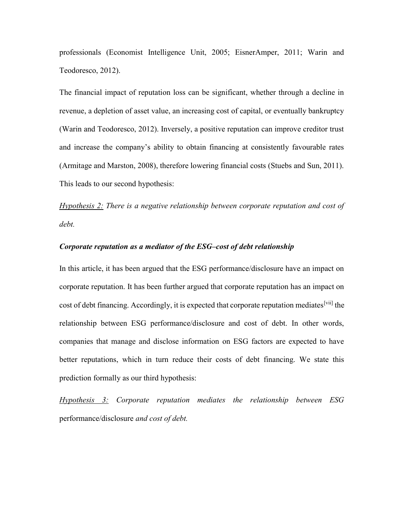professionals (Economist Intelligence Unit, 2005; EisnerAmper, 2011; Warin and Teodoresco, 2012).

The financial impact of reputation loss can be significant, whether through a decline in revenue, a depletion of asset value, an increasing cost of capital, or eventually bankruptcy (Warin and Teodoresco, 2012). Inversely, a positive reputation can improve creditor trust and increase the company's ability to obtain financing at consistently favourable rates (Armitage and Marston, 2008), therefore lowering financial costs (Stuebs and Sun, 2011). This leads to our second hypothesis:

Hypothesis  $2$ : There is a negative relationship between corporate reputation and cost of debt.

#### Corporate reputation as a mediator of the ESG–cost of debt relationship

In this article, it has been argued that the ESG performance/disclosure have an impact on corporate reputation. It has been further argued that corporate reputation has an impact on cost of debt financing. Accordingly, it is expected that corporate reputation mediates<sup>[vii]</sup> the relationship between ESG performance/disclosure and cost of debt. In other words, companies that manage and disclose information on ESG factors are expected to have better reputations, which in turn reduce their costs of debt financing. We state this prediction formally as our third hypothesis:

 $Hypothesis$  3: Corporate reputation mediates the relationship between  $ESG$ performance/disclosure and cost of debt.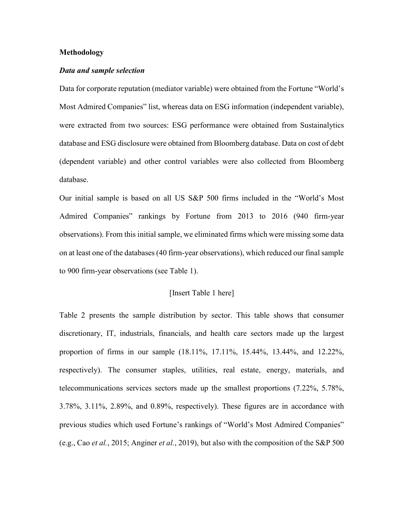#### Methodology

#### Data and sample selection

Data for corporate reputation (mediator variable) were obtained from the Fortune "World's Most Admired Companies" list, whereas data on ESG information (independent variable), were extracted from two sources: ESG performance were obtained from Sustainalytics database and ESG disclosure were obtained from Bloomberg database. Data on cost of debt (dependent variable) and other control variables were also collected from Bloomberg database.

Our initial sample is based on all US S&P 500 firms included in the "World's Most Admired Companies" rankings by Fortune from 2013 to 2016 (940 firm-year observations). From this initial sample, we eliminated firms which were missing some data on at least one of the databases (40 firm-year observations), which reduced our final sample to 900 firm-year observations (see Table 1).

#### [Insert Table 1 here]

Table 2 presents the sample distribution by sector. This table shows that consumer discretionary, IT, industrials, financials, and health care sectors made up the largest proportion of firms in our sample (18.11%, 17.11%, 15.44%, 13.44%, and 12.22%, respectively). The consumer staples, utilities, real estate, energy, materials, and telecommunications services sectors made up the smallest proportions (7.22%, 5.78%, 3.78%, 3.11%, 2.89%, and 0.89%, respectively). These figures are in accordance with previous studies which used Fortune's rankings of "World's Most Admired Companies" (e.g., Cao et al., 2015; Anginer et al., 2019), but also with the composition of the S&P 500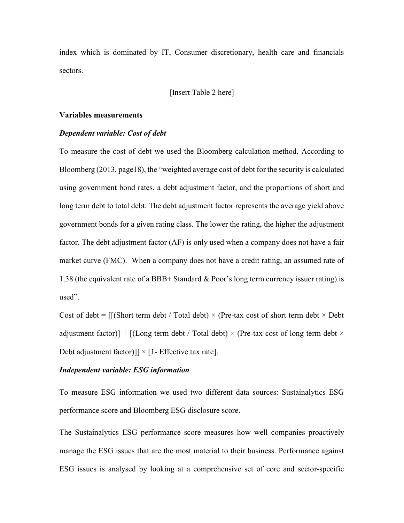index which is dominated by IT, Consumer discretionary, health care and financials sectors.

#### [Insert Table 2 here]

#### Variables measurements

#### Dependent variable: Cost of debt

To measure the cost of debt we used the Bloomberg calculation method. According to Bloomberg (2013, page18), the "weighted average cost of debt for the security is calculated using government bond rates, a debt adjustment factor, and the proportions of short and long term debt to total debt. The debt adjustment factor represents the average yield above government bonds for a given rating class. The lower the rating, the higher the adjustment factor. The debt adjustment factor (AF) is only used when a company does not have a fair market curve (FMC). When a company does not have a credit rating, an assumed rate of 1.38 (the equivalent rate of a BBB+ Standard & Poor's long term currency issuer rating) is used".

Cost of debt =  $\frac{1}{s}$  [(Short term debt / Total debt) × (Pre-tax cost of short term debt × Debt) adjustment factor)] +  $[(Long term debt / Total debt) \times (Pre-tax cost of long term debt \times$ Debt adjustment factor)]]  $\times$  [1- Effective tax rate].

#### Independent variable: ESG information

To measure ESG information we used two different data sources: Sustainalytics ESG performance score and Bloomberg ESG disclosure score.

The Sustainalytics ESG performance score measures how well companies proactively manage the ESG issues that are the most material to their business. Performance against ESG issues is analysed by looking at a comprehensive set of core and sector-specific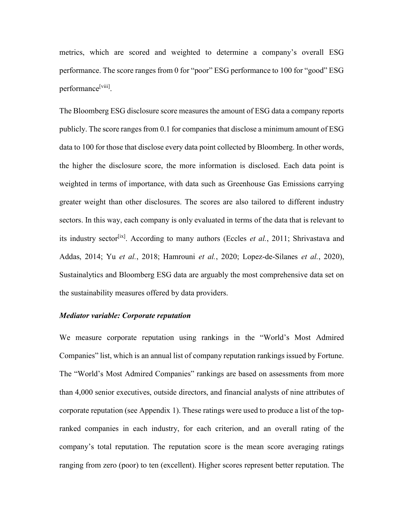metrics, which are scored and weighted to determine a company's overall ESG performance. The score ranges from 0 for "poor" ESG performance to 100 for "good" ESG performance<sup>[viii]</sup>.

The Bloomberg ESG disclosure score measures the amount of ESG data a company reports publicly. The score ranges from 0.1 for companies that disclose a minimum amount of ESG data to 100 for those that disclose every data point collected by Bloomberg. In other words, the higher the disclosure score, the more information is disclosed. Each data point is weighted in terms of importance, with data such as Greenhouse Gas Emissions carrying greater weight than other disclosures. The scores are also tailored to different industry sectors. In this way, each company is only evaluated in terms of the data that is relevant to its industry sector<sup>[ix]</sup>. According to many authors (Eccles *et al.*, 2011; Shrivastava and Addas, 2014; Yu et al., 2018; Hamrouni et al., 2020; Lopez-de-Silanes et al., 2020), Sustainalytics and Bloomberg ESG data are arguably the most comprehensive data set on the sustainability measures offered by data providers.

#### Mediator variable: Corporate reputation

We measure corporate reputation using rankings in the "World's Most Admired Companies" list, which is an annual list of company reputation rankings issued by Fortune. The "World's Most Admired Companies" rankings are based on assessments from more than 4,000 senior executives, outside directors, and financial analysts of nine attributes of corporate reputation (see Appendix 1). These ratings were used to produce a list of the topranked companies in each industry, for each criterion, and an overall rating of the company's total reputation. The reputation score is the mean score averaging ratings ranging from zero (poor) to ten (excellent). Higher scores represent better reputation. The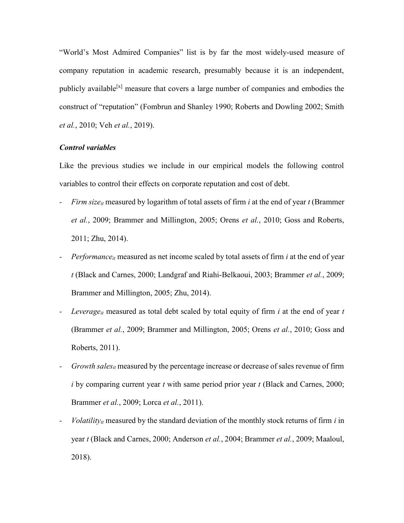"World's Most Admired Companies" list is by far the most widely-used measure of company reputation in academic research, presumably because it is an independent, publicly available<sup>[x]</sup> measure that covers a large number of companies and embodies the construct of "reputation" (Fombrun and Shanley 1990; Roberts and Dowling 2002; Smith et al., 2010; Veh et al., 2019).

#### Control variables

Like the previous studies we include in our empirical models the following control variables to control their effects on corporate reputation and cost of debt.

- Firm size<sub>it</sub> measured by logarithm of total assets of firm i at the end of year t (Brammer et al., 2009; Brammer and Millington, 2005; Orens et al., 2010; Goss and Roberts, 2011; Zhu, 2014).
- Performance<sub>it</sub> measured as net income scaled by total assets of firm *i* at the end of year t (Black and Carnes, 2000; Landgraf and Riahi-Belkaoui, 2003; Brammer et al., 2009; Brammer and Millington, 2005; Zhu, 2014).
- Leverage<sub>it</sub> measured as total debt scaled by total equity of firm  $i$  at the end of year  $t$ (Brammer et al., 2009; Brammer and Millington, 2005; Orens et al., 2010; Goss and Roberts, 2011).
- Growth sales<sub>it</sub> measured by the percentage increase or decrease of sales revenue of firm i by comparing current year  $t$  with same period prior year  $t$  (Black and Carnes, 2000; Brammer *et al.*, 2009; Lorca *et al.*, 2011).
- Volatility<sub>it</sub> measured by the standard deviation of the monthly stock returns of firm  $i$  in year t (Black and Carnes, 2000; Anderson et al., 2004; Brammer et al., 2009; Maaloul, 2018).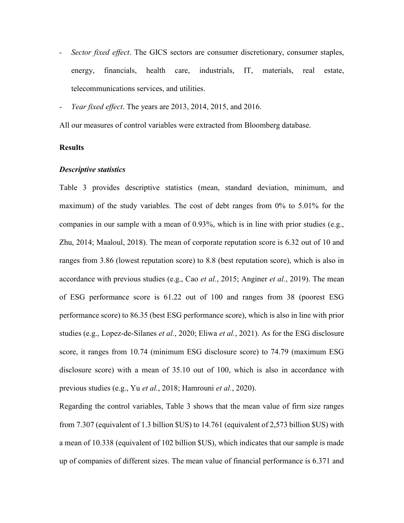- Sector fixed effect. The GICS sectors are consumer discretionary, consumer staples, energy, financials, health care, industrials, IT, materials, real estate, telecommunications services, and utilities.
- Year fixed effect. The years are 2013, 2014, 2015, and 2016.

All our measures of control variables were extracted from Bloomberg database.

#### Results

#### Descriptive statistics

Table 3 provides descriptive statistics (mean, standard deviation, minimum, and maximum) of the study variables. The cost of debt ranges from 0% to 5.01% for the companies in our sample with a mean of 0.93%, which is in line with prior studies (e.g., Zhu, 2014; Maaloul, 2018). The mean of corporate reputation score is 6.32 out of 10 and ranges from 3.86 (lowest reputation score) to 8.8 (best reputation score), which is also in accordance with previous studies (e.g., Cao *et al.*, 2015; Anginer *et al.*, 2019). The mean of ESG performance score is 61.22 out of 100 and ranges from 38 (poorest ESG performance score) to 86.35 (best ESG performance score), which is also in line with prior studies (e.g., Lopez-de-Silanes et al., 2020; Eliwa et al., 2021). As for the ESG disclosure score, it ranges from 10.74 (minimum ESG disclosure score) to 74.79 (maximum ESG disclosure score) with a mean of 35.10 out of 100, which is also in accordance with previous studies (e.g., Yu et al., 2018; Hamrouni et al., 2020).

Regarding the control variables, Table 3 shows that the mean value of firm size ranges from 7.307 (equivalent of 1.3 billion \$US) to 14.761 (equivalent of 2,573 billion \$US) with a mean of 10.338 (equivalent of 102 billion \$US), which indicates that our sample is made up of companies of different sizes. The mean value of financial performance is 6.371 and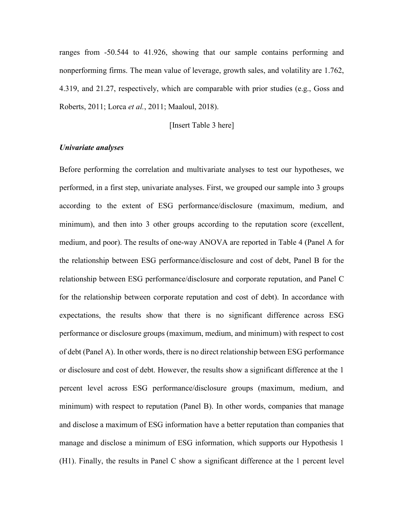ranges from -50.544 to 41.926, showing that our sample contains performing and nonperforming firms. The mean value of leverage, growth sales, and volatility are 1.762, 4.319, and 21.27, respectively, which are comparable with prior studies (e.g., Goss and Roberts, 2011; Lorca et al., 2011; Maaloul, 2018).

[Insert Table 3 here]

#### Univariate analyses

Before performing the correlation and multivariate analyses to test our hypotheses, we performed, in a first step, univariate analyses. First, we grouped our sample into 3 groups according to the extent of ESG performance/disclosure (maximum, medium, and minimum), and then into 3 other groups according to the reputation score (excellent, medium, and poor). The results of one-way ANOVA are reported in Table 4 (Panel A for the relationship between ESG performance/disclosure and cost of debt, Panel B for the relationship between ESG performance/disclosure and corporate reputation, and Panel C for the relationship between corporate reputation and cost of debt). In accordance with expectations, the results show that there is no significant difference across ESG performance or disclosure groups (maximum, medium, and minimum) with respect to cost of debt (Panel A). In other words, there is no direct relationship between ESG performance or disclosure and cost of debt. However, the results show a significant difference at the 1 percent level across ESG performance/disclosure groups (maximum, medium, and minimum) with respect to reputation (Panel B). In other words, companies that manage and disclose a maximum of ESG information have a better reputation than companies that manage and disclose a minimum of ESG information, which supports our Hypothesis 1 (H1). Finally, the results in Panel C show a significant difference at the 1 percent level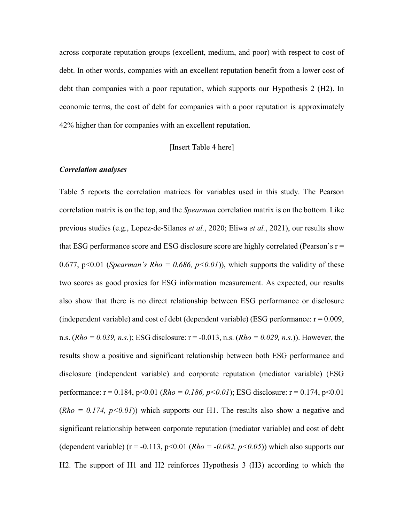across corporate reputation groups (excellent, medium, and poor) with respect to cost of debt. In other words, companies with an excellent reputation benefit from a lower cost of debt than companies with a poor reputation, which supports our Hypothesis 2 (H2). In economic terms, the cost of debt for companies with a poor reputation is approximately 42% higher than for companies with an excellent reputation.

[Insert Table 4 here]

#### Correlation analyses

Table 5 reports the correlation matrices for variables used in this study. The Pearson correlation matrix is on the top, and the *Spearman* correlation matrix is on the bottom. Like previous studies (e.g., Lopez-de-Silanes et al., 2020; Eliwa et al., 2021), our results show that ESG performance score and ESG disclosure score are highly correlated (Pearson's  $r =$ 0.677, p<0.01 (Spearman's Rho = 0.686, p<0.01)), which supports the validity of these two scores as good proxies for ESG information measurement. As expected, our results also show that there is no direct relationship between ESG performance or disclosure (independent variable) and cost of debt (dependent variable) (ESG performance:  $r = 0.009$ , n.s.  $(Rho = 0.039, n.s.)$ ; ESG disclosure: r = -0.013, n.s.  $(Rho = 0.029, n.s.)$ ). However, the results show a positive and significant relationship between both ESG performance and disclosure (independent variable) and corporate reputation (mediator variable) (ESG performance:  $r = 0.184$ ,  $p < 0.01$  ( $Rho = 0.186$ ,  $p < 0.01$ ); ESG disclosure:  $r = 0.174$ ,  $p < 0.01$  $(Rho = 0.174, p<0.01)$  which supports our H1. The results also show a negative and significant relationship between corporate reputation (mediator variable) and cost of debt (dependent variable) ( $r = -0.113$ ,  $p < 0.01$  ( $Rho = -0.082$ ,  $p < 0.05$ )) which also supports our H2. The support of H1 and H2 reinforces Hypothesis 3 (H3) according to which the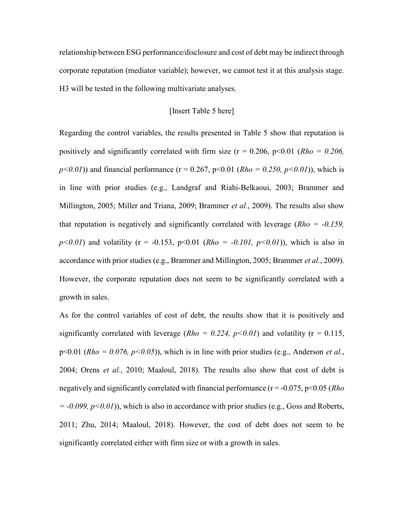relationship between ESG performance/disclosure and cost of debt may be indirect through corporate reputation (mediator variable); however, we cannot test it at this analysis stage. H3 will be tested in the following multivariate analyses.

#### [Insert Table 5 here]

Regarding the control variables, the results presented in Table 5 show that reputation is positively and significantly correlated with firm size ( $r = 0.206$ ,  $p < 0.01$  ( $Rho = 0.206$ ,  $p<0.01$ ) and financial performance (r = 0.267, p<0.01 (Rho = 0.250, p<0.01)), which is in line with prior studies (e.g., Landgraf and Riahi-Belkaoui, 2003; Brammer and Millington, 2005; Miller and Triana, 2009; Brammer et al., 2009). The results also show that reputation is negatively and significantly correlated with leverage ( $Rho = -0.159$ ,  $p<0.01$ ) and volatility (r = -0.153, p $<0.01$  (Rho = -0.101, p $<0.01$ )), which is also in accordance with prior studies (e.g., Brammer and Millington, 2005; Brammer et al., 2009). However, the corporate reputation does not seem to be significantly correlated with a growth in sales.

As for the control variables of cost of debt, the results show that it is positively and significantly correlated with leverage ( $Rho = 0.224$ ,  $p<0.01$ ) and volatility (r = 0.115,  $p<0.01$  (Rho = 0.076,  $p<0.05$ )), which is in line with prior studies (e.g., Anderson *et al.*, 2004; Orens et al., 2010; Maaloul, 2018). The results also show that cost of debt is negatively and significantly correlated with financial performance ( $r = -0.075$ ,  $p < 0.05$  (*Rho*)  $= -0.099$ ,  $p < 0.01$ ), which is also in accordance with prior studies (e.g., Goss and Roberts, 2011; Zhu, 2014; Maaloul, 2018). However, the cost of debt does not seem to be significantly correlated either with firm size or with a growth in sales.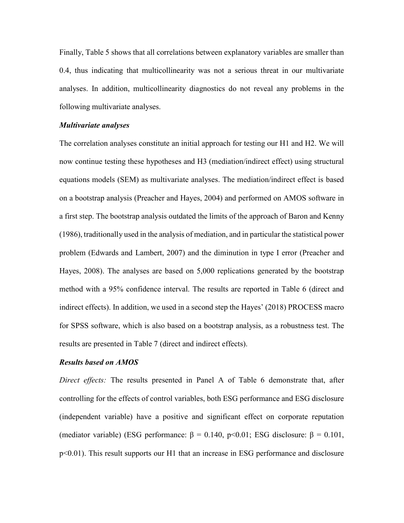Finally, Table 5 shows that all correlations between explanatory variables are smaller than 0.4, thus indicating that multicollinearity was not a serious threat in our multivariate analyses. In addition, multicollinearity diagnostics do not reveal any problems in the following multivariate analyses.

#### Multivariate analyses

The correlation analyses constitute an initial approach for testing our H1 and H2. We will now continue testing these hypotheses and H3 (mediation/indirect effect) using structural equations models (SEM) as multivariate analyses. The mediation/indirect effect is based on a bootstrap analysis (Preacher and Hayes, 2004) and performed on AMOS software in a first step. The bootstrap analysis outdated the limits of the approach of Baron and Kenny (1986), traditionally used in the analysis of mediation, and in particular the statistical power problem (Edwards and Lambert, 2007) and the diminution in type I error (Preacher and Hayes, 2008). The analyses are based on 5,000 replications generated by the bootstrap method with a 95% confidence interval. The results are reported in Table 6 (direct and indirect effects). In addition, we used in a second step the Hayes' (2018) PROCESS macro for SPSS software, which is also based on a bootstrap analysis, as a robustness test. The results are presented in Table 7 (direct and indirect effects).

#### Results based on AMOS

Direct effects: The results presented in Panel A of Table 6 demonstrate that, after controlling for the effects of control variables, both ESG performance and ESG disclosure (independent variable) have a positive and significant effect on corporate reputation (mediator variable) (ESG performance:  $\beta = 0.140$ , p<0.01; ESG disclosure:  $\beta = 0.101$ , p<0.01). This result supports our H1 that an increase in ESG performance and disclosure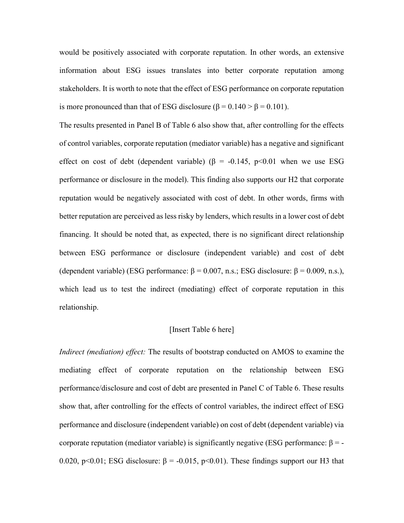would be positively associated with corporate reputation. In other words, an extensive information about ESG issues translates into better corporate reputation among stakeholders. It is worth to note that the effect of ESG performance on corporate reputation is more pronounced than that of ESG disclosure ( $\beta = 0.140 > \beta = 0.101$ ).

The results presented in Panel B of Table 6 also show that, after controlling for the effects of control variables, corporate reputation (mediator variable) has a negative and significant effect on cost of debt (dependent variable) ( $\beta$  = -0.145, p<0.01 when we use ESG performance or disclosure in the model). This finding also supports our H2 that corporate reputation would be negatively associated with cost of debt. In other words, firms with better reputation are perceived as less risky by lenders, which results in a lower cost of debt financing. It should be noted that, as expected, there is no significant direct relationship between ESG performance or disclosure (independent variable) and cost of debt (dependent variable) (ESG performance:  $\beta = 0.007$ , n.s.; ESG disclosure:  $\beta = 0.009$ , n.s.), which lead us to test the indirect (mediating) effect of corporate reputation in this relationship.

#### [Insert Table 6 here]

Indirect (mediation) effect: The results of bootstrap conducted on AMOS to examine the mediating effect of corporate reputation on the relationship between ESG performance/disclosure and cost of debt are presented in Panel C of Table 6. These results show that, after controlling for the effects of control variables, the indirect effect of ESG performance and disclosure (independent variable) on cost of debt (dependent variable) via corporate reputation (mediator variable) is significantly negative (ESG performance:  $β = -$ 0.020, p<0.01; ESG disclosure:  $\beta$  = -0.015, p<0.01). These findings support our H3 that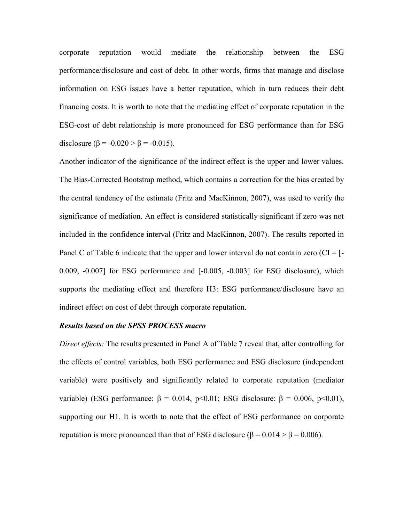corporate reputation would mediate the relationship between the ESG performance/disclosure and cost of debt. In other words, firms that manage and disclose information on ESG issues have a better reputation, which in turn reduces their debt financing costs. It is worth to note that the mediating effect of corporate reputation in the ESG-cost of debt relationship is more pronounced for ESG performance than for ESG disclosure ( $\beta$  = -0.020 >  $\beta$  = -0.015).

Another indicator of the significance of the indirect effect is the upper and lower values. The Bias-Corrected Bootstrap method, which contains a correction for the bias created by the central tendency of the estimate (Fritz and MacKinnon, 2007), was used to verify the significance of mediation. An effect is considered statistically significant if zero was not included in the confidence interval (Fritz and MacKinnon, 2007). The results reported in Panel C of Table 6 indicate that the upper and lower interval do not contain zero  $(Cl = [-$ 0.009, -0.007] for ESG performance and [-0.005, -0.003] for ESG disclosure), which supports the mediating effect and therefore H3: ESG performance/disclosure have an indirect effect on cost of debt through corporate reputation.

#### Results based on the SPSS PROCESS macro

Direct effects: The results presented in Panel A of Table 7 reveal that, after controlling for the effects of control variables, both ESG performance and ESG disclosure (independent variable) were positively and significantly related to corporate reputation (mediator variable) (ESG performance: β = 0.014, p<0.01; ESG disclosure: β = 0.006, p<0.01), supporting our H1. It is worth to note that the effect of ESG performance on corporate reputation is more pronounced than that of ESG disclosure (β =  $0.014 > \beta = 0.006$ ).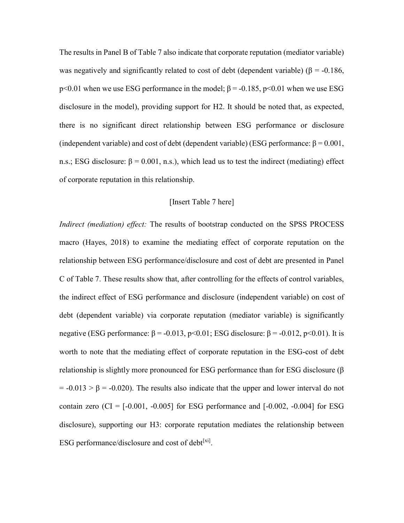The results in Panel B of Table 7 also indicate that corporate reputation (mediator variable) was negatively and significantly related to cost of debt (dependent variable) ( $\beta$  = -0.186, p<0.01 when we use ESG performance in the model;  $\beta$  = -0.185, p<0.01 when we use ESG disclosure in the model), providing support for H2. It should be noted that, as expected, there is no significant direct relationship between ESG performance or disclosure (independent variable) and cost of debt (dependent variable) (ESG performance:  $\beta = 0.001$ , n.s.; ESG disclosure:  $\beta = 0.001$ , n.s.), which lead us to test the indirect (mediating) effect of corporate reputation in this relationship.

#### [Insert Table 7 here]

Indirect (mediation) effect: The results of bootstrap conducted on the SPSS PROCESS macro (Hayes, 2018) to examine the mediating effect of corporate reputation on the relationship between ESG performance/disclosure and cost of debt are presented in Panel C of Table 7. These results show that, after controlling for the effects of control variables, the indirect effect of ESG performance and disclosure (independent variable) on cost of debt (dependent variable) via corporate reputation (mediator variable) is significantly negative (ESG performance:  $\beta$  = -0.013, p<0.01; ESG disclosure:  $\beta$  = -0.012, p<0.01). It is worth to note that the mediating effect of corporate reputation in the ESG-cost of debt relationship is slightly more pronounced for ESG performance than for ESG disclosure (β  $= -0.013 > \beta = -0.020$ ). The results also indicate that the upper and lower interval do not contain zero  $|CI| = [-0.001, -0.005]$  for ESG performance and  $[-0.002, -0.004]$  for ESG disclosure), supporting our H3: corporate reputation mediates the relationship between ESG performance/disclosure and cost of debt $^{[xi]}$ .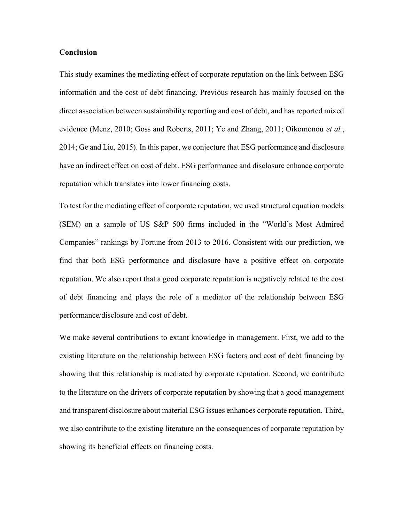#### Conclusion

This study examines the mediating effect of corporate reputation on the link between ESG information and the cost of debt financing. Previous research has mainly focused on the direct association between sustainability reporting and cost of debt, and has reported mixed evidence (Menz, 2010; Goss and Roberts, 2011; Ye and Zhang, 2011; Oikomonou et al., 2014; Ge and Liu, 2015). In this paper, we conjecture that ESG performance and disclosure have an indirect effect on cost of debt. ESG performance and disclosure enhance corporate reputation which translates into lower financing costs.

To test for the mediating effect of corporate reputation, we used structural equation models (SEM) on a sample of US S&P 500 firms included in the "World's Most Admired Companies" rankings by Fortune from 2013 to 2016. Consistent with our prediction, we find that both ESG performance and disclosure have a positive effect on corporate reputation. We also report that a good corporate reputation is negatively related to the cost of debt financing and plays the role of a mediator of the relationship between ESG performance/disclosure and cost of debt.

We make several contributions to extant knowledge in management. First, we add to the existing literature on the relationship between ESG factors and cost of debt financing by showing that this relationship is mediated by corporate reputation. Second, we contribute to the literature on the drivers of corporate reputation by showing that a good management and transparent disclosure about material ESG issues enhances corporate reputation. Third, we also contribute to the existing literature on the consequences of corporate reputation by showing its beneficial effects on financing costs.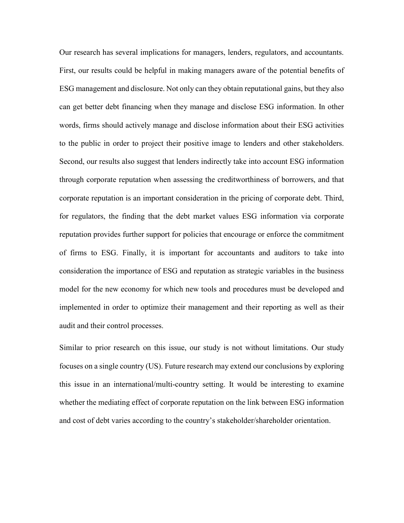Our research has several implications for managers, lenders, regulators, and accountants. First, our results could be helpful in making managers aware of the potential benefits of ESG management and disclosure. Not only can they obtain reputational gains, but they also can get better debt financing when they manage and disclose ESG information. In other words, firms should actively manage and disclose information about their ESG activities to the public in order to project their positive image to lenders and other stakeholders. Second, our results also suggest that lenders indirectly take into account ESG information through corporate reputation when assessing the creditworthiness of borrowers, and that corporate reputation is an important consideration in the pricing of corporate debt. Third, for regulators, the finding that the debt market values ESG information via corporate reputation provides further support for policies that encourage or enforce the commitment of firms to ESG. Finally, it is important for accountants and auditors to take into consideration the importance of ESG and reputation as strategic variables in the business model for the new economy for which new tools and procedures must be developed and implemented in order to optimize their management and their reporting as well as their audit and their control processes.

Similar to prior research on this issue, our study is not without limitations. Our study focuses on a single country (US). Future research may extend our conclusions by exploring this issue in an international/multi-country setting. It would be interesting to examine whether the mediating effect of corporate reputation on the link between ESG information and cost of debt varies according to the country's stakeholder/shareholder orientation.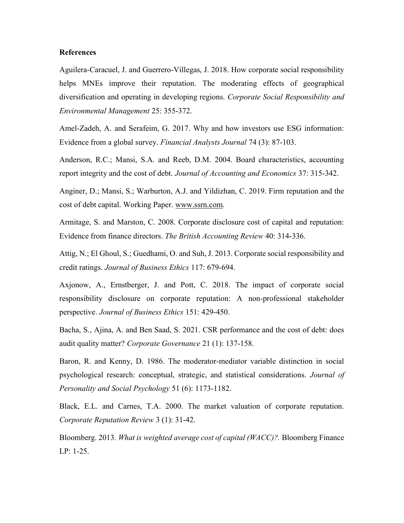#### **References**

Aguilera-Caracuel, J. and Guerrero-Villegas, J. 2018. How corporate social responsibility helps MNEs improve their reputation. The moderating effects of geographical diversification and operating in developing regions. Corporate Social Responsibility and Environmental Management 25: 355-372.

Amel-Zadeh, A. and Serafeim, G. 2017. Why and how investors use ESG information: Evidence from a global survey. Financial Analysts Journal 74 (3): 87-103.

Anderson, R.C.; Mansi, S.A. and Reeb, D.M. 2004. Board characteristics, accounting report integrity and the cost of debt. Journal of Accounting and Economics 37: 315-342.

Anginer, D.; Mansi, S.; Warburton, A.J. and Yildizhan, C. 2019. Firm reputation and the cost of debt capital. Working Paper. www.ssrn.com.

Armitage, S. and Marston, C. 2008. Corporate disclosure cost of capital and reputation: Evidence from finance directors. The British Accounting Review 40: 314-336.

Attig, N.; El Ghoul, S.; Guedhami, O. and Suh, J. 2013. Corporate social responsibility and credit ratings. Journal of Business Ethics 117: 679-694.

Axjonow, A., Ernstberger, J. and Pott, C. 2018. The impact of corporate social responsibility disclosure on corporate reputation: A non-professional stakeholder perspective. Journal of Business Ethics 151: 429-450.

Bacha, S., Ajina, A. and Ben Saad, S. 2021. CSR performance and the cost of debt: does audit quality matter? Corporate Governance 21 (1): 137-158.

Baron, R. and Kenny, D. 1986. The moderator-mediator variable distinction in social psychological research: conceptual, strategic, and statistical considerations. Journal of Personality and Social Psychology 51 (6): 1173-1182.

Black, E.L. and Carnes, T.A. 2000. The market valuation of corporate reputation. Corporate Reputation Review 3 (1): 31-42.

Bloomberg. 2013. What is weighted average cost of capital (WACC)?. Bloomberg Finance LP: 1-25.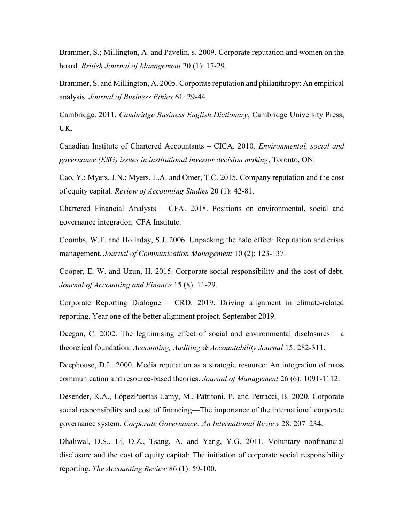Brammer, S.; Millington, A. and Pavelin, s. 2009. Corporate reputation and women on the board. British Journal of Management 20 (1): 17-29.

Brammer, S. and Millington, A. 2005. Corporate reputation and philanthropy: An empirical analysis. Journal of Business Ethics 61: 29-44.

Cambridge. 2011. Cambridge Business English Dictionary, Cambridge University Press, UK.

Canadian Institute of Chartered Accountants – CICA. 2010. Environmental, social and governance (ESG) issues in institutional investor decision making, Toronto, ON.

Cao, Y.; Myers, J.N.; Myers, L.A. and Omer, T.C. 2015. Company reputation and the cost of equity capital. Review of Accounting Studies 20 (1): 42-81.

Chartered Financial Analysts – CFA. 2018. Positions on environmental, social and governance integration. CFA Institute.

Coombs, W.T. and Holladay, S.J. 2006. Unpacking the halo effect: Reputation and crisis management. Journal of Communication Management 10 (2): 123-137.

Cooper, E. W. and Uzun, H. 2015. Corporate social responsibility and the cost of debt. Journal of Accounting and Finance 15 (8): 11-29.

Corporate Reporting Dialogue – CRD. 2019. Driving alignment in climate-related reporting. Year one of the better alignment project. September 2019.

Deegan, C. 2002. The legitimising effect of social and environmental disclosures – a theoretical foundation. Accounting, Auditing & Accountability Journal 15: 282-311.

Deephouse, D.L. 2000. Media reputation as a strategic resource: An integration of mass communication and resource-based theories. Journal of Management 26 (6): 1091-1112.

Desender, K.A., LópezPuertas-Lamy, M., Pattitoni, P. and Petracci, B. 2020. Corporate social responsibility and cost of financing—The importance of the international corporate governance system. Corporate Governance: An International Review 28: 207–234.

Dhaliwal, D.S., Li, O.Z., Tsang, A. and Yang, Y.G. 2011. Voluntary nonfinancial disclosure and the cost of equity capital: The initiation of corporate social responsibility reporting. The Accounting Review 86 (1): 59-100.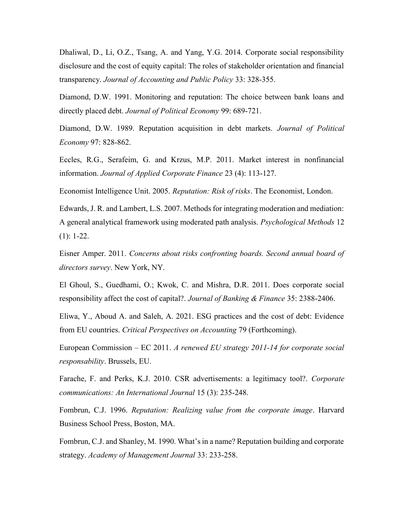Dhaliwal, D., Li, O.Z., Tsang, A. and Yang, Y.G. 2014. Corporate social responsibility disclosure and the cost of equity capital: The roles of stakeholder orientation and financial transparency. Journal of Accounting and Public Policy 33: 328-355.

Diamond, D.W. 1991. Monitoring and reputation: The choice between bank loans and directly placed debt. Journal of Political Economy 99: 689-721.

Diamond, D.W. 1989. Reputation acquisition in debt markets. Journal of Political Economy 97: 828-862.

Eccles, R.G., Serafeim, G. and Krzus, M.P. 2011. Market interest in nonfinancial information. Journal of Applied Corporate Finance 23 (4): 113-127.

Economist Intelligence Unit. 2005. Reputation: Risk of risks. The Economist, London.

Edwards, J. R. and Lambert, L.S. 2007. Methods for integrating moderation and mediation: A general analytical framework using moderated path analysis. Psychological Methods 12 (1): 1-22.

Eisner Amper. 2011. Concerns about risks confronting boards. Second annual board of directors survey. New York, NY.

El Ghoul, S., Guedhami, O.; Kwok, C. and Mishra, D.R. 2011. Does corporate social responsibility affect the cost of capital?. Journal of Banking & Finance 35: 2388-2406.

Eliwa, Y., Aboud A. and Saleh, A. 2021. ESG practices and the cost of debt: Evidence from EU countries. Critical Perspectives on Accounting 79 (Forthcoming).

European Commission – EC 2011. A renewed EU strategy 2011-14 for corporate social responsability. Brussels, EU.

Farache, F. and Perks, K.J. 2010. CSR advertisements: a legitimacy tool?. Corporate communications: An International Journal 15 (3): 235-248.

Fombrun, C.J. 1996. Reputation: Realizing value from the corporate image. Harvard Business School Press, Boston, MA.

Fombrun, C.J. and Shanley, M. 1990. What's in a name? Reputation building and corporate strategy. Academy of Management Journal 33: 233-258.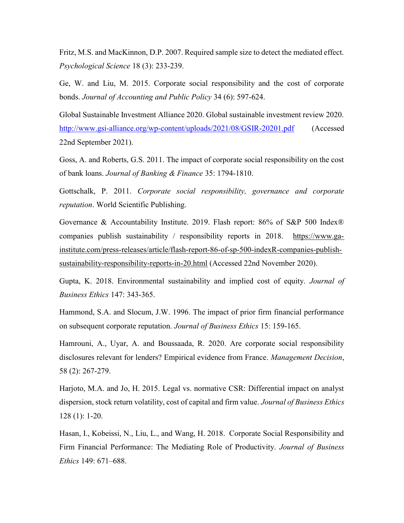Fritz, M.S. and MacKinnon, D.P. 2007. Required sample size to detect the mediated effect. Psychological Science 18 (3): 233-239.

Ge, W. and Liu, M. 2015. Corporate social responsibility and the cost of corporate bonds. Journal of Accounting and Public Policy 34 (6): 597-624.

Global Sustainable Investment Alliance 2020. Global sustainable investment review 2020. http://www.gsi-alliance.org/wp-content/uploads/2021/08/GSIR-20201.pdf (Accessed 22nd September 2021).

Goss, A. and Roberts, G.S. 2011. The impact of corporate social responsibility on the cost of bank loans. Journal of Banking & Finance 35: 1794-1810.

Gottschalk, P. 2011. Corporate social responsibility, governance and corporate reputation. World Scientific Publishing.

Governance & Accountability Institute. 2019. Flash report: 86% of S&P 500 Index® companies publish sustainability / responsibility reports in 2018. https://www.gainstitute.com/press-releases/article/flash-report-86-of-sp-500-indexR-companies-publishsustainability-responsibility-reports-in-20.html (Accessed 22nd November 2020).

Gupta, K. 2018. Environmental sustainability and implied cost of equity. Journal of Business Ethics 147: 343-365.

Hammond, S.A. and Slocum, J.W. 1996. The impact of prior firm financial performance on subsequent corporate reputation. Journal of Business Ethics 15: 159-165.

Hamrouni, A., Uyar, A. and Boussaada, R. 2020. Are corporate social responsibility disclosures relevant for lenders? Empirical evidence from France. Management Decision, 58 (2): 267-279.

Harjoto, M.A. and Jo, H. 2015. Legal vs. normative CSR: Differential impact on analyst dispersion, stock return volatility, cost of capital and firm value. Journal of Business Ethics 128 (1): 1-20.

Hasan, I., Kobeissi, N., Liu, L., and Wang, H. 2018. Corporate Social Responsibility and Firm Financial Performance: The Mediating Role of Productivity. Journal of Business Ethics 149: 671–688.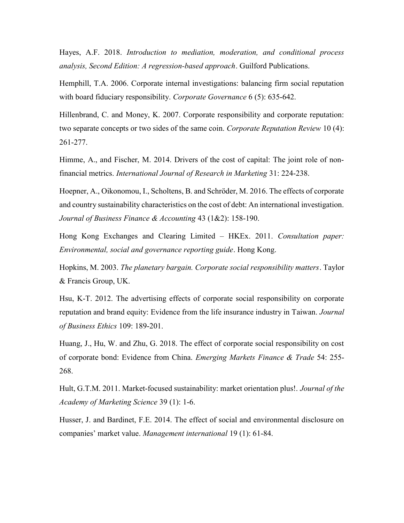Hayes, A.F. 2018. Introduction to mediation, moderation, and conditional process analysis, Second Edition: A regression-based approach. Guilford Publications.

Hemphill, T.A. 2006. Corporate internal investigations: balancing firm social reputation with board fiduciary responsibility. Corporate Governance 6 (5): 635-642.

Hillenbrand, C. and Money, K. 2007. Corporate responsibility and corporate reputation: two separate concepts or two sides of the same coin. Corporate Reputation Review 10 (4): 261-277.

Himme, A., and Fischer, M. 2014. Drivers of the cost of capital: The joint role of nonfinancial metrics. International Journal of Research in Marketing 31: 224-238.

Hoepner, A., Oikonomou, I., Scholtens, B. and Schröder, M. 2016. The effects of corporate and country sustainability characteristics on the cost of debt: An international investigation. Journal of Business Finance & Accounting 43 (1&2): 158-190.

Hong Kong Exchanges and Clearing Limited – HKEx. 2011. Consultation paper: Environmental, social and governance reporting guide. Hong Kong.

Hopkins, M. 2003. The planetary bargain. Corporate social responsibility matters. Taylor & Francis Group, UK.

Hsu, K-T. 2012. The advertising effects of corporate social responsibility on corporate reputation and brand equity: Evidence from the life insurance industry in Taiwan. Journal of Business Ethics 109: 189-201.

Huang, J., Hu, W. and Zhu, G. 2018. The effect of corporate social responsibility on cost of corporate bond: Evidence from China. Emerging Markets Finance & Trade 54: 255- 268.

Hult, G.T.M. 2011. Market-focused sustainability: market orientation plus!. Journal of the Academy of Marketing Science 39 (1): 1-6.

Husser, J. and Bardinet, F.E. 2014. The effect of social and environmental disclosure on companies' market value. Management international 19 (1): 61-84.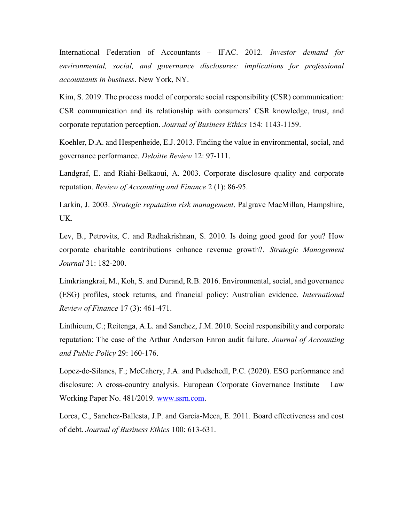International Federation of Accountants – IFAC. 2012. Investor demand for environmental, social, and governance disclosures: implications for professional accountants in business. New York, NY.

Kim, S. 2019. The process model of corporate social responsibility (CSR) communication: CSR communication and its relationship with consumers' CSR knowledge, trust, and corporate reputation perception. Journal of Business Ethics 154: 1143-1159.

Koehler, D.A. and Hespenheide, E.J. 2013. Finding the value in environmental, social, and governance performance. Deloitte Review 12: 97-111.

Landgraf, E. and Riahi-Belkaoui, A. 2003. Corporate disclosure quality and corporate reputation. Review of Accounting and Finance 2 (1): 86-95.

Larkin, J. 2003. Strategic reputation risk management. Palgrave MacMillan, Hampshire, UK.

Lev, B., Petrovits, C. and Radhakrishnan, S. 2010. Is doing good good for you? How corporate charitable contributions enhance revenue growth?. Strategic Management Journal 31: 182-200.

Limkriangkrai, M., Koh, S. and Durand, R.B. 2016. Environmental, social, and governance (ESG) profiles, stock returns, and financial policy: Australian evidence. International Review of Finance 17 (3): 461-471.

Linthicum, C.; Reitenga, A.L. and Sanchez, J.M. 2010. Social responsibility and corporate reputation: The case of the Arthur Anderson Enron audit failure. *Journal of Accounting* and Public Policy 29: 160-176.

Lopez-de-Silanes, F.; McCahery, J.A. and Pudschedl, P.C. (2020). ESG performance and disclosure: A cross-country analysis. European Corporate Governance Institute – Law Working Paper No. 481/2019. www.ssrn.com.

Lorca, C., Sanchez-Ballesta, J.P. and Garcia-Meca, E. 2011. Board effectiveness and cost of debt. Journal of Business Ethics 100: 613-631.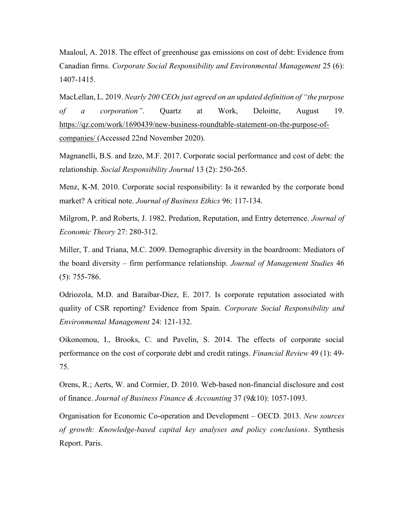Maaloul, A. 2018. The effect of greenhouse gas emissions on cost of debt: Evidence from Canadian firms. Corporate Social Responsibility and Environmental Management 25 (6): 1407-1415.

MacLellan, L. 2019. Nearly 200 CEOs just agreed on an updated definition of "the purpose of a corporation". Quartz at Work, Deloitte, August 19. https://qz.com/work/1690439/new-business-roundtable-statement-on-the-purpose-ofcompanies/ (Accessed 22nd November 2020).

Magnanelli, B.S. and Izzo, M.F. 2017. Corporate social performance and cost of debt: the relationship. Social Responsibility Journal 13 (2): 250-265.

Menz, K-M. 2010. Corporate social responsibility: Is it rewarded by the corporate bond market? A critical note. Journal of Business Ethics 96: 117-134.

Milgrom, P. and Roberts, J. 1982. Predation, Reputation, and Entry deterrence. *Journal of* Economic Theory 27: 280-312.

Miller, T. and Triana, M.C. 2009. Demographic diversity in the boardroom: Mediators of the board diversity – firm performance relationship. Journal of Management Studies 46 (5): 755-786.

Odriozola, M.D. and Baraibar-Diez, E. 2017. Is corporate reputation associated with quality of CSR reporting? Evidence from Spain. Corporate Social Responsibility and Environmental Management 24: 121-132.

Oikonomou, I., Brooks, C. and Pavelin, S. 2014. The effects of corporate social performance on the cost of corporate debt and credit ratings. Financial Review 49 (1): 49- 75.

Orens, R.; Aerts, W. and Cormier, D. 2010. Web-based non-financial disclosure and cost of finance. Journal of Business Finance & Accounting 37 (9&10): 1057-1093.

Organisation for Economic Co-operation and Development – OECD. 2013. New sources of growth: Knowledge-based capital key analyses and policy conclusions. Synthesis Report. Paris.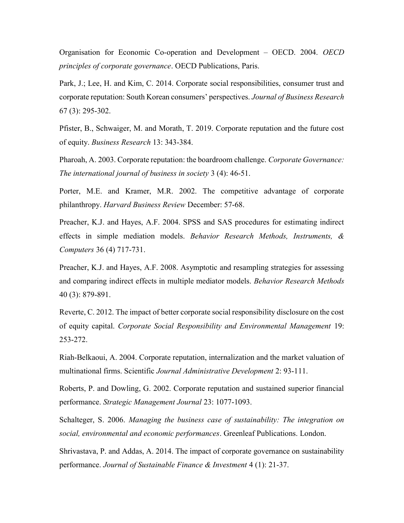Organisation for Economic Co-operation and Development – OECD. 2004. OECD principles of corporate governance. OECD Publications, Paris.

Park, J.; Lee, H. and Kim, C. 2014. Corporate social responsibilities, consumer trust and corporate reputation: South Korean consumers' perspectives. Journal of Business Research 67 (3): 295-302.

Pfister, B., Schwaiger, M. and Morath, T. 2019. Corporate reputation and the future cost of equity. Business Research 13: 343-384.

Pharoah, A. 2003. Corporate reputation: the boardroom challenge. Corporate Governance: The international journal of business in society 3 (4): 46-51.

Porter, M.E. and Kramer, M.R. 2002. The competitive advantage of corporate philanthropy. Harvard Business Review December: 57-68.

Preacher, K.J. and Hayes, A.F. 2004. SPSS and SAS procedures for estimating indirect effects in simple mediation models. Behavior Research Methods, Instruments, & Computers 36 (4) 717-731.

Preacher, K.J. and Hayes, A.F. 2008. Asymptotic and resampling strategies for assessing and comparing indirect effects in multiple mediator models. Behavior Research Methods 40 (3): 879-891.

Reverte, C. 2012. The impact of better corporate social responsibility disclosure on the cost of equity capital. Corporate Social Responsibility and Environmental Management 19: 253-272.

Riah-Belkaoui, A. 2004. Corporate reputation, internalization and the market valuation of multinational firms. Scientific Journal Administrative Development 2: 93-111.

Roberts, P. and Dowling, G. 2002. Corporate reputation and sustained superior financial performance. Strategic Management Journal 23: 1077-1093.

Schalteger, S. 2006. Managing the business case of sustainability: The integration on social, environmental and economic performances. Greenleaf Publications. London.

Shrivastava, P. and Addas, A. 2014. The impact of corporate governance on sustainability performance. Journal of Sustainable Finance & Investment 4 (1): 21-37.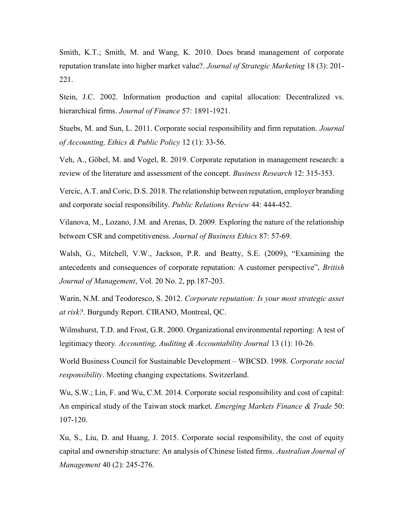Smith, K.T.; Smith, M. and Wang, K. 2010. Does brand management of corporate reputation translate into higher market value?. Journal of Strategic Marketing 18 (3): 201-221.

Stein, J.C. 2002. Information production and capital allocation: Decentralized vs. hierarchical firms. Journal of Finance 57: 1891-1921.

Stuebs, M. and Sun, L. 2011. Corporate social responsibility and firm reputation. Journal of Accounting, Ethics & Public Policy 12 (1): 33-56.

Veh, A., Göbel, M. and Vogel, R. 2019. Corporate reputation in management research: a review of the literature and assessment of the concept. Business Research 12: 315-353.

Vercic, A.T. and Coric, D.S. 2018. The relationship between reputation, employer branding and corporate social responsibility. Public Relations Review 44: 444-452.

Vilanova, M., Lozano, J.M. and Arenas, D. 2009. Exploring the nature of the relationship between CSR and competitiveness. Journal of Business Ethics 87: 57-69.

Walsh, G., Mitchell, V.W., Jackson, P.R. and Beatty, S.E. (2009), "Examining the antecedents and consequences of corporate reputation: A customer perspective", British Journal of Management, Vol. 20 No. 2, pp.187-203.

Warin, N.M. and Teodoresco, S. 2012. Corporate reputation: Is your most strategic asset at risk?. Burgundy Report. CIRANO, Montreal, QC.

Wilmshurst, T.D. and Frost, G.R. 2000. Organizational environmental reporting: A test of legitimacy theory. Accounting, Auditing & Accountability Journal 13 (1): 10-26.

World Business Council for Sustainable Development – WBCSD. 1998. Corporate social responsibility. Meeting changing expectations. Switzerland.

Wu, S.W.; Lin, F. and Wu, C.M. 2014. Corporate social responsibility and cost of capital: An empirical study of the Taiwan stock market. *Emerging Markets Finance & Trade* 50: 107-120.

Xu, S., Liu, D. and Huang, J. 2015. Corporate social responsibility, the cost of equity capital and ownership structure: An analysis of Chinese listed firms. Australian Journal of Management 40 (2): 245-276.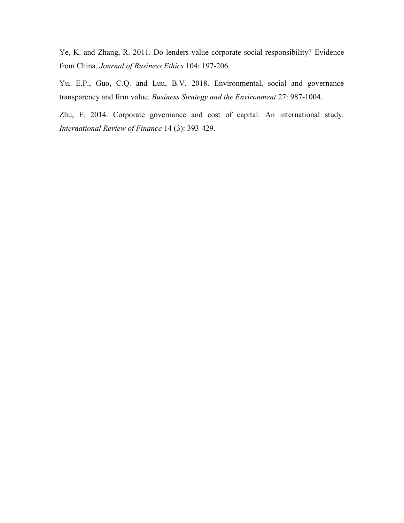Ye, K. and Zhang, R. 2011. Do lenders value corporate social responsibility? Evidence from China. Journal of Business Ethics 104: 197-206.

Yu, E.P., Guo, C.Q. and Luu, B.V. 2018. Environmental, social and governance transparency and firm value. Business Strategy and the Environment 27: 987-1004.

Zhu, F. 2014. Corporate governance and cost of capital: An international study. International Review of Finance 14 (3): 393-429.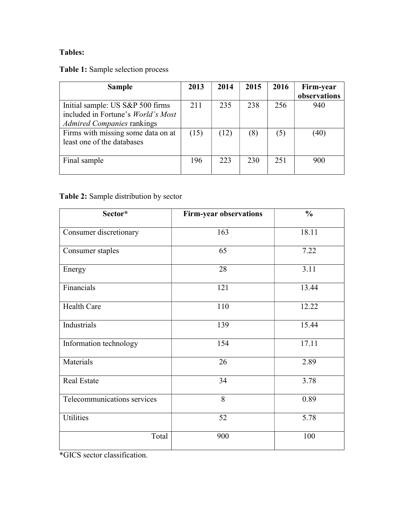### Tables:

Table 1: Sample selection process

| <b>Sample</b>                                                                                               | 2013 | 2014 | 2015 | 2016 | Firm-year<br>observations |
|-------------------------------------------------------------------------------------------------------------|------|------|------|------|---------------------------|
| Initial sample: US S&P 500 firms<br>included in Fortune's World's Most<br><b>Admired Companies rankings</b> | 211  | 235  | 238  | 256  | 940                       |
| Firms with missing some data on at<br>least one of the databases                                            | (15) | (12) | (8)  | (5)  | (40)                      |
| Final sample                                                                                                | 196  | 223  | 230  | 251  | 900                       |

### Table 2: Sample distribution by sector

| Sector*                     | <b>Firm-year observations</b> | $\frac{0}{0}$ |
|-----------------------------|-------------------------------|---------------|
| Consumer discretionary      | 163                           | 18.11         |
| Consumer staples            | 65                            | 7.22          |
| Energy                      | 28                            | 3.11          |
| Financials                  | 121                           | 13.44         |
| <b>Health Care</b>          | 110                           | 12.22         |
| Industrials                 | 139                           | 15.44         |
| Information technology      | 154                           | 17.11         |
| Materials                   | 26                            | 2.89          |
| Real Estate                 | 34                            | 3.78          |
| Telecommunications services | 8                             | 0.89          |
| <b>Utilities</b>            | 52                            | 5.78          |
| Total                       | 900                           | 100           |

\*GICS sector classification.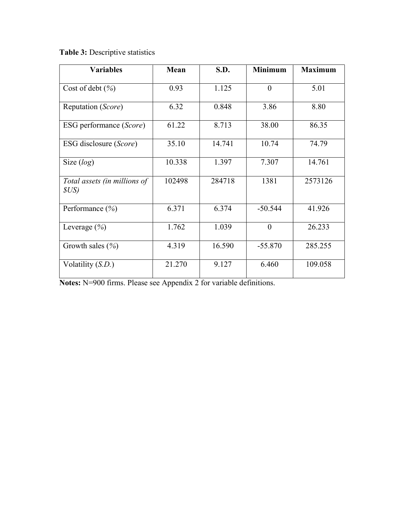Table 3: Descriptive statistics

| <b>Variables</b>                      | Mean   | S.D.   | <b>Minimum</b> | <b>Maximum</b> |
|---------------------------------------|--------|--------|----------------|----------------|
| Cost of debt (%)                      | 0.93   | 1.125  | $\theta$       | 5.01           |
| Reputation (Score)                    | 6.32   | 0.848  | 3.86           | 8.80           |
| ESG performance (Score)               | 61.22  | 8.713  | 38.00          | 86.35          |
| ESG disclosure (Score)                | 35.10  | 14.741 | 10.74          | 74.79          |
| Size $(log)$                          | 10.338 | 1.397  | 7.307          | 14.761         |
| Total assets (in millions of<br>\$US) | 102498 | 284718 | 1381           | 2573126        |
| Performance (%)                       | 6.371  | 6.374  | $-50.544$      | 41.926         |
| Leverage $(\% )$                      | 1.762  | 1.039  | $\theta$       | 26.233         |
| Growth sales $(\% )$                  | 4.319  | 16.590 | $-55.870$      | 285.255        |
| Volatility $(S.D.)$                   | 21.270 | 9.127  | 6.460          | 109.058        |

Notes: N=900 firms. Please see Appendix 2 for variable definitions.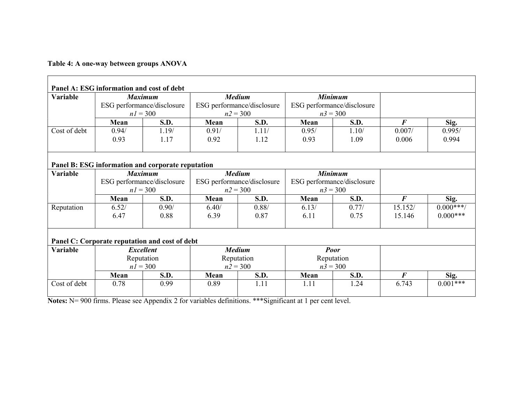Table 4: A one-way between groups ANOVA

|                 | Panel A: ESG information and cost of debt         |       |                            |                            |                            |       |                  |             |
|-----------------|---------------------------------------------------|-------|----------------------------|----------------------------|----------------------------|-------|------------------|-------------|
| <b>Variable</b> | <b>Maximum</b>                                    |       |                            | <b>Medium</b>              | <b>Minimum</b>             |       |                  |             |
|                 | ESG performance/disclosure                        |       |                            | ESG performance/disclosure | ESG performance/disclosure |       |                  |             |
|                 | $n = 300$                                         |       | $n2 = 300$                 |                            | $n3 = 300$                 |       |                  |             |
|                 | Mean                                              | S.D.  | Mean                       | S.D.                       | Mean                       | S.D.  | $\bm{F}$         | Sig.        |
| Cost of debt    | 0.94/                                             | 1.19/ | 0.91/                      | 1.11/                      | 0.95/                      | 1.10/ | 0.007/           | 0.995/      |
|                 | 0.93                                              | 1.17  | 0.92                       | 1.12                       | 0.93                       | 1.09  | 0.006            | 0.994       |
|                 |                                                   |       |                            |                            |                            |       |                  |             |
|                 |                                                   |       |                            |                            |                            |       |                  |             |
|                 | Panel B: ESG information and corporate reputation |       |                            |                            |                            |       |                  |             |
| Variable        | <b>Maximum</b>                                    |       | <b>Medium</b>              |                            | <b>Minimum</b>             |       |                  |             |
|                 | ESG performance/disclosure                        |       | ESG performance/disclosure |                            | ESG performance/disclosure |       |                  |             |
|                 | $n = 300$                                         |       | $n2 = 300$                 |                            | $n3 = 300$                 |       |                  |             |
|                 | Mean                                              | S.D.  | Mean                       | S.D.                       | Mean                       | S.D.  | $\boldsymbol{F}$ | Sig.        |
| Reputation      | 6.52/                                             | 0.90/ | 6.40/                      | 0.88/                      | 6.13/                      | 0.77/ | 15.152/          | $0.000**$   |
|                 | 6.47                                              | 0.88  | 6.39                       | 0.87                       | 6.11                       | 0.75  | 15.146           | $0.000$ *** |
|                 |                                                   |       |                            |                            |                            |       |                  |             |
|                 |                                                   |       |                            |                            |                            |       |                  |             |
|                 | Panel C: Corporate reputation and cost of debt    |       |                            |                            |                            |       |                  |             |
| Variable        | <b>Excellent</b>                                  |       |                            | <b>Medium</b>              | <b>Poor</b>                |       |                  |             |
|                 | Reputation                                        |       |                            | Reputation                 | Reputation                 |       |                  |             |
|                 | $n = 300$                                         |       |                            | $n2 = 300$                 | $n3 = 300$                 |       |                  |             |
|                 | Mean                                              | S.D.  | Mean                       | S.D.                       | Mean                       | S.D.  | $\bm{F}$         | Sig.        |
| Cost of debt    | 0.78                                              | 0.99  | 0.89                       | 1.11                       | 1.11                       | 1.24  | 6.743            | $0.001***$  |
|                 |                                                   |       |                            |                            |                            |       |                  |             |

Notes: N= 900 firms. Please see Appendix 2 for variables definitions. \*\*\* Significant at 1 per cent level.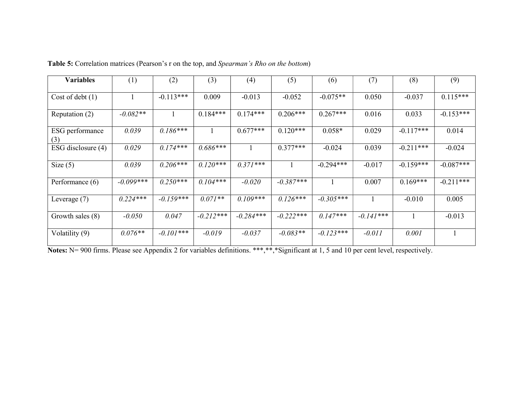| <b>Variables</b>       | (1)         | (2)         | (3)         | (4)         | (5)         | (6)         | (7)         | (8)         | (9)         |
|------------------------|-------------|-------------|-------------|-------------|-------------|-------------|-------------|-------------|-------------|
| Cost of debt $(1)$     |             | $-0.113***$ | 0.009       | $-0.013$    | $-0.052$    | $-0.075**$  | 0.050       | $-0.037$    | $0.115***$  |
| Reputation (2)         | $-0.082**$  |             | $0.184***$  | $0.174***$  | $0.206***$  | $0.267***$  | 0.016       | 0.033       | $-0.153***$ |
| ESG performance<br>(3) | 0.039       | $0.186***$  |             | $0.677***$  | $0.120***$  | $0.058*$    | 0.029       | $-0.117***$ | 0.014       |
| ESG disclosure (4)     | 0.029       | $0.174***$  | $0.686***$  |             | $0.377***$  | $-0.024$    | 0.039       | $-0.211***$ | $-0.024$    |
| Size $(5)$             | 0.039       | $0.206***$  | $0.120***$  | $0.371***$  |             | $-0.294***$ | $-0.017$    | $-0.159***$ | $-0.087***$ |
| Performance $(6)$      | $-0.099***$ | $0.250***$  | $0.104***$  | $-0.020$    | $-0.387***$ |             | 0.007       | $0.169***$  | $-0.211***$ |
| Leverage $(7)$         | $0.224***$  | $-0.159***$ | $0.071**$   | $0.109***$  | $0.126***$  | $-0.305***$ |             | $-0.010$    | 0.005       |
| Growth sales (8)       | $-0.050$    | 0.047       | $-0.212***$ | $-0.284***$ | $-0.222***$ | $0.147***$  | $-0.141***$ |             | $-0.013$    |
| Volatility (9)         | $0.076**$   | $-0.101***$ | $-0.019$    | $-0.037$    | $-0.083**$  | $-0.123***$ | $-0.011$    | 0.001       |             |

| Table 5: Correlation matrices (Pearson's r on the top, and Spearman's Rho on the bottom) |  |
|------------------------------------------------------------------------------------------|--|
|------------------------------------------------------------------------------------------|--|

Notes: N= 900 firms. Please see Appendix 2 for variables definitions. \*\*\*,\*\*,\*Significant at 1, 5 and 10 per cent level, respectively.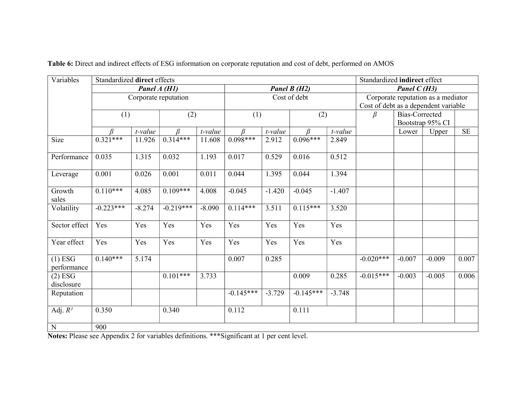| Variables                | Standardized direct effects<br>Standardized indirect effect |              |             |          |               |          |             |          |                                                 |                  |          |           |
|--------------------------|-------------------------------------------------------------|--------------|-------------|----------|---------------|----------|-------------|----------|-------------------------------------------------|------------------|----------|-----------|
|                          |                                                             | Panel A (H1) |             |          | Panel $B(H2)$ |          |             |          | Panel $C(H3)$                                   |                  |          |           |
|                          | Corporate reputation                                        |              |             |          | Cost of debt  |          |             |          | Corporate reputation as a mediator              |                  |          |           |
|                          |                                                             |              |             |          |               |          |             |          | Cost of debt as a dependent variable<br>$\beta$ |                  |          |           |
|                          | (1)                                                         |              | (2)         |          |               | (1)      |             | (2)      |                                                 | Bias-Corrected   |          |           |
|                          |                                                             |              |             |          |               |          |             |          |                                                 | Bootstrap 95% CI |          |           |
|                          | $\beta$                                                     | $t$ -value   | $\beta$     | t-value  | $\beta$       | t-value  | $\beta$     | t-value  |                                                 | Lower            | Upper    | <b>SE</b> |
| Size                     | $0.321***$                                                  | 11.926       | $0.314***$  | 11.608   | $0.098***$    | 2.912    | $0.096***$  | 2.849    |                                                 |                  |          |           |
| Performance              | 0.035                                                       | 1.315        | 0.032       | 1.193    | 0.017         | 0.529    | 0.016       | 0.512    |                                                 |                  |          |           |
| Leverage                 | 0.001                                                       | 0.026        | 0.001       | 0.011    | 0.044         | 1.395    | 0.044       | 1.394    |                                                 |                  |          |           |
| Growth<br>sales          | $0.110***$                                                  | 4.085        | $0.109***$  | 4.008    | $-0.045$      | $-1.420$ | $-0.045$    | $-1.407$ |                                                 |                  |          |           |
| Volatility               | $-0.223***$                                                 | $-8.274$     | $-0.219***$ | $-8.090$ | $0.114***$    | 3.511    | $0.115***$  | 3.520    |                                                 |                  |          |           |
| Sector effect            | Yes                                                         | Yes          | Yes         | Yes      | Yes           | Yes      | Yes         | Yes      |                                                 |                  |          |           |
| Year effect              | Yes                                                         | Yes          | Yes         | Yes      | Yes           | Yes      | Yes         | Yes      |                                                 |                  |          |           |
| $(1)$ ESG<br>performance | $0.140***$                                                  | 5.174        |             |          | 0.007         | 0.285    |             |          | $-0.020***$                                     | $-0.007$         | $-0.009$ | 0.007     |
| $(2)$ ESG<br>disclosure  |                                                             |              | $0.101***$  | 3.733    |               |          | 0.009       | 0.285    | $-0.015***$                                     | $-0.003$         | $-0.005$ | 0.006     |
| Reputation               |                                                             |              |             |          | $-0.145***$   | $-3.729$ | $-0.145***$ | $-3.748$ |                                                 |                  |          |           |
| Adj. $R^2$               | 0.350                                                       |              | 0.340       |          | 0.112         |          | 0.111       |          |                                                 |                  |          |           |
| ${\bf N}$                | 900                                                         |              |             |          |               |          |             |          |                                                 |                  |          |           |

Table 6: Direct and indirect effects of ESG information on corporate reputation and cost of debt, performed on AMOS

Notes: Please see Appendix 2 for variables definitions. \*\*\*Significant at 1 per cent level.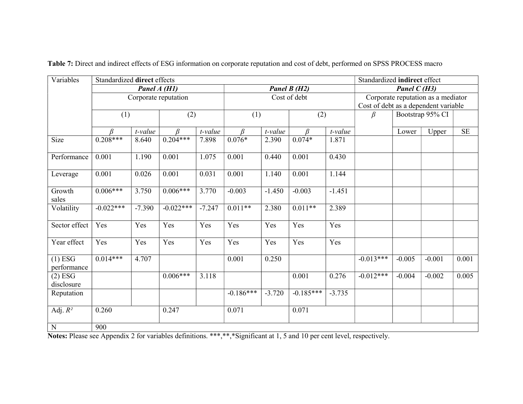| Variables                | Standardized direct effects |               |             |          |                |          |             |          |                                      | Standardized indirect effect |                  |           |  |
|--------------------------|-----------------------------|---------------|-------------|----------|----------------|----------|-------------|----------|--------------------------------------|------------------------------|------------------|-----------|--|
|                          |                             | Panel $A(H1)$ |             |          | Panel B (H2)   |          |             |          | Panel $C(H3)$                        |                              |                  |           |  |
|                          | Corporate reputation        |               |             |          | Cost of debt   |          |             |          | Corporate reputation as a mediator   |                              |                  |           |  |
|                          |                             |               |             |          |                |          |             |          | Cost of debt as a dependent variable |                              |                  |           |  |
|                          | (1)                         |               | (2)         |          | (1)            |          | (2)         |          | $\beta$                              |                              | Bootstrap 95% CI |           |  |
|                          | B                           | t-value       | B           | t-value  | B              | t-value  | $\beta$     | t-value  |                                      | Lower                        | Upper            | <b>SE</b> |  |
| Size                     | $0.208***$                  | 8.640         | $0.204***$  | 7.898    | $0.076*$       | 2.390    | $0.074*$    | 1.871    |                                      |                              |                  |           |  |
| Performance              | 0.001                       | 1.190         | 0.001       | 1.075    | 0.001          | 0.440    | 0.001       | 0.430    |                                      |                              |                  |           |  |
| Leverage                 | 0.001                       | 0.026         | 0.001       | 0.031    | 0.001          | 1.140    | 0.001       | 1.144    |                                      |                              |                  |           |  |
| Growth<br>sales          | $0.006***$                  | 3.750         | $0.006***$  | 3.770    | $-0.003$       | $-1.450$ | $-0.003$    | $-1.451$ |                                      |                              |                  |           |  |
| Volatility               | $-0.022***$                 | $-7.390$      | $-0.022***$ | $-7.247$ | $0.011**$      | 2.380    | $0.011**$   | 2.389    |                                      |                              |                  |           |  |
| Sector effect            | Yes                         | Yes           | Yes         | Yes      | Yes            | Yes      | Yes         | Yes      |                                      |                              |                  |           |  |
| Year effect              | Yes                         | Yes           | Yes         | Yes      | Yes            | Yes      | Yes         | Yes      |                                      |                              |                  |           |  |
| $(1)$ ESG<br>performance | $0.014***$                  | 4.707         |             |          | 0.001          | 0.250    |             |          | $-0.013***$                          | $-0.005$                     | $-0.001$         | 0.001     |  |
| $(2)$ ESG<br>disclosure  |                             |               | $0.006***$  | 3.118    |                |          | 0.001       | 0.276    | $-0.012***$                          | $-0.004$                     | $-0.002$         | 0.005     |  |
| Reputation               |                             |               |             |          | $-0.186***$    | $-3.720$ | $-0.185***$ | $-3.735$ |                                      |                              |                  |           |  |
| Adj. $R^2$               | 0.260                       |               | 0.247       |          | 0.071<br>0.071 |          |             |          |                                      |                              |                  |           |  |
| ${\bf N}$                | 900                         |               |             |          |                |          |             |          |                                      |                              |                  |           |  |

Table 7: Direct and indirect effects of ESG information on corporate reputation and cost of debt, performed on SPSS PROCESS macro

Notes: Please see Appendix 2 for variables definitions. \*\*\*,\*\*,\*Significant at 1, 5 and 10 per cent level, respectively.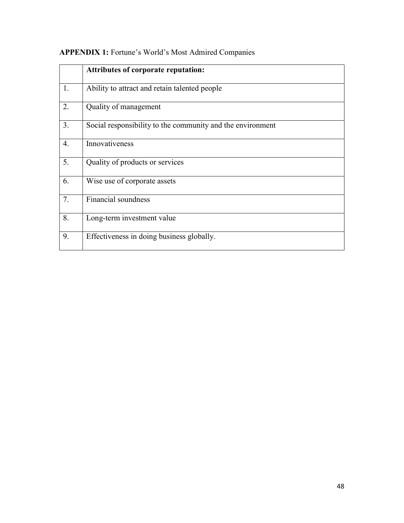|    | <b>Attributes of corporate reputation:</b>                 |
|----|------------------------------------------------------------|
| 1. | Ability to attract and retain talented people              |
| 2. | Quality of management                                      |
| 3. | Social responsibility to the community and the environment |
| 4. | Innovativeness                                             |
| 5. | Quality of products or services                            |
| 6. | Wise use of corporate assets                               |
| 7. | Financial soundness                                        |
| 8. | Long-term investment value                                 |
| 9. | Effectiveness in doing business globally.                  |

## APPENDIX 1: Fortune's World's Most Admired Companies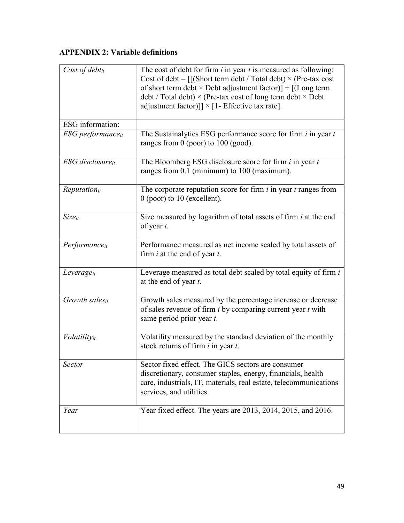### APPENDIX 2: Variable definitions

| Cost of debt $it$    | The cost of debt for firm $i$ in year $t$ is measured as following:<br>Cost of debt = $\frac{1}{s}$ (Short term debt / Total debt) × (Pre-tax cost<br>of short term debt × Debt adjustment factor)] + [(Long term<br>$\text{debt}/\text{Total debt}$ × (Pre-tax cost of long term $\text{debt} \times \text{Debt}$<br>adjustment factor)]] $\times$ [1- Effective tax rate]. |
|----------------------|------------------------------------------------------------------------------------------------------------------------------------------------------------------------------------------------------------------------------------------------------------------------------------------------------------------------------------------------------------------------------|
| ESG information:     |                                                                                                                                                                                                                                                                                                                                                                              |
| ESG performanceit    | The Sustainalytics ESG performance score for firm $i$ in year $t$<br>ranges from $0$ (poor) to $100$ (good).                                                                                                                                                                                                                                                                 |
| ESG disclosureit     | The Bloomberg ESG disclosure score for firm $i$ in year $t$<br>ranges from 0.1 (minimum) to 100 (maximum).                                                                                                                                                                                                                                                                   |
| $Reputation_{it}$    | The corporate reputation score for firm $i$ in year $t$ ranges from<br>$0$ (poor) to 10 (excellent).                                                                                                                                                                                                                                                                         |
| $Size_{it}$          | Size measured by logarithm of total assets of firm <i>i</i> at the end<br>of year t.                                                                                                                                                                                                                                                                                         |
| Performanceit        | Performance measured as net income scaled by total assets of<br>firm $i$ at the end of year $t$ .                                                                                                                                                                                                                                                                            |
| $Leverage_{it}$      | Leverage measured as total debt scaled by total equity of firm i<br>at the end of year t.                                                                                                                                                                                                                                                                                    |
| Growth sales $_{it}$ | Growth sales measured by the percentage increase or decrease<br>of sales revenue of firm $i$ by comparing current year $t$ with<br>same period prior year t.                                                                                                                                                                                                                 |
| Volatilityit         | Volatility measured by the standard deviation of the monthly<br>stock returns of firm $i$ in year $t$ .                                                                                                                                                                                                                                                                      |
| Sector               | Sector fixed effect. The GICS sectors are consumer<br>discretionary, consumer staples, energy, financials, health<br>care, industrials, IT, materials, real estate, telecommunications<br>services, and utilities.                                                                                                                                                           |
| Year                 | Year fixed effect. The years are 2013, 2014, 2015, and 2016.                                                                                                                                                                                                                                                                                                                 |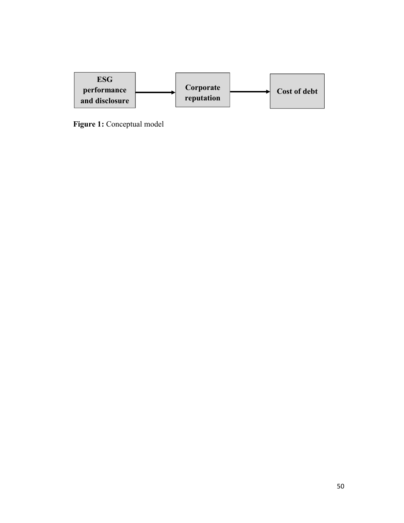

Figure 1: Conceptual model